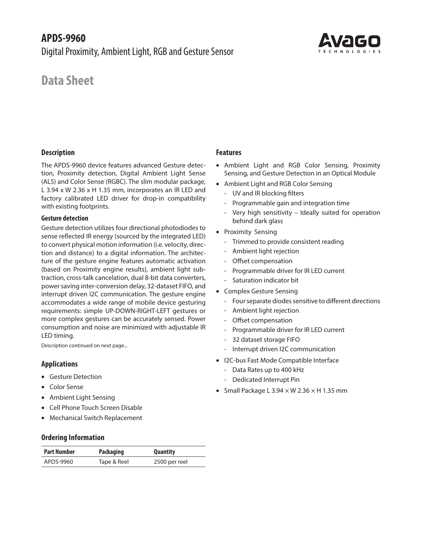

# **Data Sheet**

### **Description**

The APDS-9960 device features advanced Gesture detection, Proximity detection, Digital Ambient Light Sense (ALS) and Color Sense (RGBC). The slim modular package, L 3.94 x W 2.36 x H 1.35 mm, incorporates an IR LED and factory calibrated LED driver for drop-in compatibility with existing footprints.

### **Gesture detection**

Gesture detection utilizes four directional photodiodes to sense reflected IR energy (sourced by the integrated LED) to convert physical motion information (i.e. velocity, direction and distance) to a digital information. The architecture of the gesture engine features automatic activation (based on Proximity engine results), ambient light subtraction, cross-talk cancelation, dual 8-bit data converters, power saving inter-conversion delay, 32-dataset FIFO, and interrupt driven I2C communication. The gesture engine accommodates a wide range of mobile device gesturing requirements: simple UP-DOWN-RIGHT-LEFT gestures or more complex gestures can be accurately sensed. Power consumption and noise are minimized with adjustable IR LED timing.

Description continued on next page...

### **Applications**

- Gesture Detection
- Color Sense
- Ambient Light Sensing
- Cell Phone Touch Screen Disable
- Mechanical Switch Replacement

### **Ordering Information**

| <b>Part Number</b> | <b>Packaging</b> | <b>Quantity</b> |
|--------------------|------------------|-----------------|
| APDS-9960          | Tape & Reel      | 2500 per reel   |

### **Features**

- Ambient Light and RGB Color Sensing, Proximity Sensing, and Gesture Detection in an Optical Module
- Ambient Light and RGB Color Sensing
	- UV and IR blocking filters
	- Programmable gain and integration time
	- Very high sensitivity Ideally suited for operation behind dark glass
- Proximity Sensing
	- Trimmed to provide consistent reading
	- Ambient light rejection
	- Offset compensation
	- Programmable driver for IR LED current
	- Saturation indicator bit
- Complex Gesture Sensing
	- Four separate diodes sensitive to different directions
	- Ambient light rejection
	- Offset compensation
	- Programmable driver for IR LED current
	- 32 dataset storage FIFO
	- Interrupt driven I2C communication
- I2C-bus Fast Mode Compatible Interface
	- Data Rates up to 400 kHz
	- Dedicated Interrupt Pin
- Small Package L 3.94  $\times$  W 2.36  $\times$  H 1.35 mm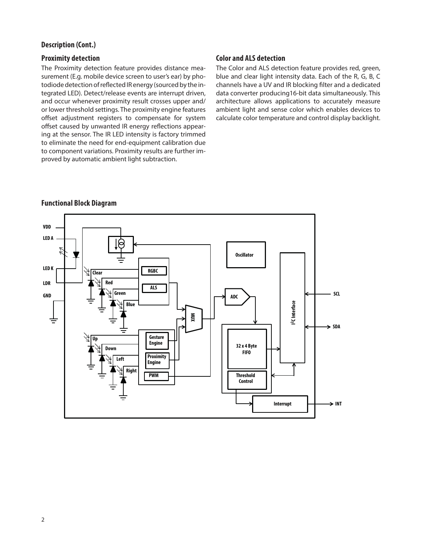### **Description (Cont.)**

### **Proximity detection**

The Proximity detection feature provides distance measurement (E.g. mobile device screen to user's ear) by photodiode detection of reflected IR energy (sourced by the integrated LED). Detect/release events are interrupt driven, and occur whenever proximity result crosses upper and/ or lower threshold settings. The proximity engine features offset adjustment registers to compensate for system offset caused by unwanted IR energy reflections appearing at the sensor. The IR LED intensity is factory trimmed to eliminate the need for end-equipment calibration due to component variations. Proximity results are further improved by automatic ambient light subtraction.

### **Color and ALS detection**

The Color and ALS detection feature provides red, green, blue and clear light intensity data. Each of the R, G, B, C channels have a UV and IR blocking filter and a dedicated data converter producing16-bit data simultaneously. This architecture allows applications to accurately measure ambient light and sense color which enables devices to calculate color temperature and control display backlight.



### **Functional Block Diagram**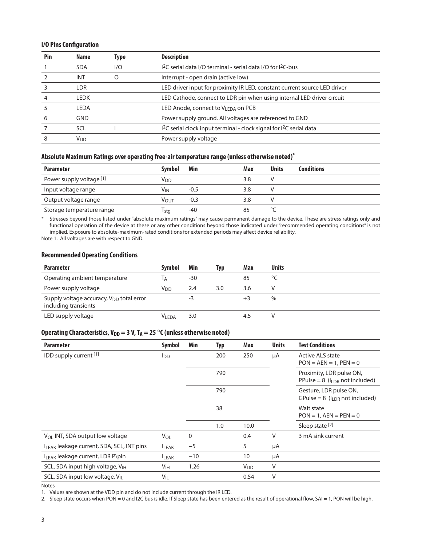#### **I/O Pins Configuration**

| Pin | <b>Name</b>           | Type | <b>Description</b>                                                                           |
|-----|-----------------------|------|----------------------------------------------------------------------------------------------|
|     | <b>SDA</b>            | 1/O  | I <sup>2</sup> C serial data I/O terminal - serial data I/O for I <sup>2</sup> C-bus         |
|     | <b>INT</b>            | O    | Interrupt - open drain (active low)                                                          |
|     | <b>LDR</b>            |      | LED driver input for proximity IR LED, constant current source LED driver                    |
|     | <b>LEDK</b>           |      | LED Cathode, connect to LDR pin when using internal LED driver circuit                       |
|     | <b>LEDA</b>           |      | LED Anode, connect to V <sub>LEDA</sub> on PCB                                               |
|     | <b>GND</b>            |      | Power supply ground. All voltages are referenced to GND                                      |
|     | <b>SCL</b>            |      | I <sup>2</sup> C serial clock input terminal - clock signal for I <sup>2</sup> C serial data |
|     | <b>V<sub>DD</sub></b> |      | Power supply voltage                                                                         |

#### **Absolute Maximum Ratings over operating free-air temperature range (unless otherwise noted)\***

| <b>Parameter</b>          | <b>Symbol</b>    | Min    | Max | <b>Units</b> | <b>Conditions</b> |
|---------------------------|------------------|--------|-----|--------------|-------------------|
| Power supply voltage [1]  | Vdd              |        |     |              |                   |
| Input voltage range       | Vin              | $-0.5$ | 3.8 |              |                   |
| Output voltage range      | V <sub>OUT</sub> | $-0.3$ | 3.8 |              |                   |
| Storage temperature range | l stg            | -40    |     |              |                   |

\* Stresses beyond those listed under "absolute maximum ratings" may cause permanent damage to the device. These are stress ratings only and functional operation of the device at these or any other conditions beyond those indicated under "recommended operating conditions" is not implied. Exposure to absolute-maximum-rated conditions for extended periods may affect device reliability.

Note 1. All voltages are with respect to GND.

#### **Recommended Operating Conditions**

| <b>Parameter</b>                                                             | <b>Symbol</b>   | Min | Typ | Max | <b>Units</b>  |  |
|------------------------------------------------------------------------------|-----------------|-----|-----|-----|---------------|--|
| Operating ambient temperature                                                | Iд              | -30 |     | 85  | $\circ$       |  |
| Power supply voltage                                                         | V <sub>DD</sub> | 2.4 | 3.0 | 3.6 |               |  |
| Supply voltage accuracy, V <sub>DD</sub> total error<br>including transients |                 | -3  |     |     | $\frac{0}{0}$ |  |
| LED supply voltage                                                           | VI FDA          | 3.0 |     | 4.5 |               |  |

### Operating Characteristics, V<sub>DD</sub> = 3 V, T<sub>A</sub> = 25 °C (unless otherwise noted)

| <b>Parameter</b>                             | Symbol                 | Min   | Typ | Max                   | <b>Units</b> | <b>Test Conditions</b>                                             |
|----------------------------------------------|------------------------|-------|-----|-----------------------|--------------|--------------------------------------------------------------------|
| IDD supply current [1]                       | <b>I</b> <sub>DD</sub> |       | 200 | 250                   | μA           | <b>Active ALS state</b><br>$PON = AEN = 1, PEN = 0$                |
|                                              |                        |       | 790 |                       |              | Proximity, LDR pulse ON,<br>PPulse = $8$ ( $I_{LDR}$ not included) |
|                                              |                        |       | 790 |                       |              | Gesture, LDR pulse ON,<br>GPulse = 8 ( $I_{IDR}$ not included)     |
|                                              |                        |       | 38  |                       |              | Wait state<br>$PON = 1$ , $AEN = PEN = 0$                          |
|                                              |                        |       | 1.0 | 10.0                  |              | Sleep state <sup>[2]</sup>                                         |
| $V_{OL}$ INT, SDA output low voltage         | V <sub>OL</sub>        | 0     |     | 0.4                   | V            | 3 mA sink current                                                  |
| ILEAK leakage current, SDA, SCL, INT pins    | <b>ILEAK</b>           | $-5$  |     | 5                     | μA           |                                                                    |
| I <sub>LEAK</sub> leakage current, LDR P\pin | <b>LEAK</b>            | $-10$ |     | 10                    | μA           |                                                                    |
| SCL, SDA input high voltage, V <sub>IH</sub> | V <sub>IH</sub>        | 1.26  |     | <b>V<sub>DD</sub></b> | V            |                                                                    |
| SCL, SDA input low voltage, V <sub>II</sub>  | $V_{IL}$               |       |     | 0.54                  | V            |                                                                    |

Notes

1. Values are shown at the VDD pin and do not include current through the IR LED.

2. Sleep state occurs when PON = 0 and I2C bus is idle. If Sleep state has been entered as the result of operational flow, SAI = 1, PON will be high.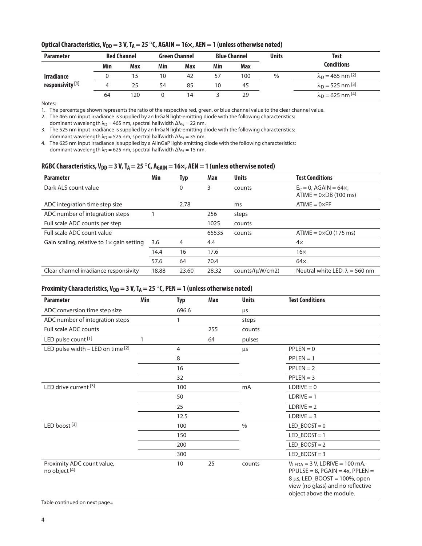| <b>Parameter</b>            |     | <b>Red Channel</b> |     | <b>Green Channel</b> |     | <b>Blue Channel</b> |      |                                                      |  |  |  | Test |
|-----------------------------|-----|--------------------|-----|----------------------|-----|---------------------|------|------------------------------------------------------|--|--|--|------|
|                             | Min | Max                | Min | Max                  | Min | Max                 |      | Conditions                                           |  |  |  |      |
| <b>Irradiance</b>           |     |                    | 10  | 42                   |     | 100                 | $\%$ | $\lambda_{\text{D}} = 465 \text{ nm}$ <sup>[2]</sup> |  |  |  |      |
| responsivity <sup>[1]</sup> | 4   | 25                 | 54  | 85                   | 10  | 45                  |      | $\lambda_{\rm D} = 525 \text{ nm}$ [3]               |  |  |  |      |
|                             | 64  | 120                |     | 14                   |     | 29                  |      | $\lambda_{\rm D}$ = 625 nm <sup>[4]</sup>            |  |  |  |      |

### Optical Characteristics, V<sub>DD</sub> = 3 V, T<sub>A</sub> = 25 °C, AGAIN = 16×, AEN = 1 (unless otherwise noted)

Notes:

1. The percentage shown represents the ratio of the respective red, green, or blue channel value to the clear channel value.

2. The 465 nm input irradiance is supplied by an InGaN light-emitting diode with the following characteristics:

dominant wavelength  $λ_D = 465$  nm, spectral halfwidth  $Δλ<sub>1/2</sub> = 22$  nm.

3. The 525 nm input irradiance is supplied by an InGaN light-emitting diode with the following characteristics: dominant wavelength  $\lambda_D$  = 525 nm, spectral halfwidth  $\Delta\lambda_{1/2}$  = 35 nm.

4. The 625 nm input irradiance is supplied by a AlInGaP light-emitting diode with the following characteristics: dominant wavelength  $\lambda_D = 625$  nm, spectral halfwidth  $\Delta\lambda_{1/2} = 15$  nm.

### RGBC Characteristics, V<sub>DD</sub> = 3 V, T<sub>A</sub> = 25 °C, A<sub>GAIN</sub> = 16×, AEN = 1 (unless otherwise noted)

| <b>Parameter</b>                                 | Min   | Typ   | Max   | <b>Units</b>    | <b>Test Conditions</b>                                              |
|--------------------------------------------------|-------|-------|-------|-----------------|---------------------------------------------------------------------|
| Dark ALS count value                             |       | 0     | 3     | counts          | $E_e = 0$ , AGAIN = 64 $\times$ ,<br>$ATIME = 0 \times DB$ (100 ms) |
| ADC integration time step size                   |       | 2.78  |       | ms              | $ATIME = 0 \times FF$                                               |
| ADC number of integration steps                  |       |       | 256   | steps           |                                                                     |
| Full scale ADC counts per step                   |       |       | 1025  | counts          |                                                                     |
| Full scale ADC count value                       |       |       | 65535 | counts          | $ATIME = 0 \times CO$ (175 ms)                                      |
| Gain scaling, relative to $1\times$ gain setting | 3.6   | 4     | 4.4   |                 | $4\times$                                                           |
|                                                  | 14.4  | 16    | 17.6  |                 | $16\times$                                                          |
|                                                  | 57.6  | 64    | 70.4  |                 | $64\times$                                                          |
| Clear channel irradiance responsivity            | 18.88 | 23.60 | 28.32 | counts/(µW/cm2) | Neutral white LED, $\lambda = 560$ nm                               |

### **Proximity Characteristics, V<sub>DD</sub> = 3 V, T<sub>A</sub> = 25 °C, PEN = 1 (unless otherwise noted)**

| <b>Parameter</b>                                       | Min | <b>Typ</b> | Max | <b>Units</b>  | <b>Test Conditions</b>                                                                                                                                                          |
|--------------------------------------------------------|-----|------------|-----|---------------|---------------------------------------------------------------------------------------------------------------------------------------------------------------------------------|
| ADC conversion time step size                          |     | 696.6      |     | μs            |                                                                                                                                                                                 |
| ADC number of integration steps                        |     | 1          |     | steps         |                                                                                                                                                                                 |
| <b>Full scale ADC counts</b>                           |     |            | 255 | counts        |                                                                                                                                                                                 |
| LED pulse count <sup>[1]</sup>                         | 1   |            | 64  | pulses        |                                                                                                                                                                                 |
| LED pulse width - LED on time [2]                      |     | 4          |     | μs            | $PPLEN = 0$                                                                                                                                                                     |
|                                                        |     | 8          |     |               | $PPLEN = 1$                                                                                                                                                                     |
|                                                        |     | 16         |     |               | $PPLEN = 2$                                                                                                                                                                     |
|                                                        |     | 32         |     |               | $PPLEN = 3$                                                                                                                                                                     |
| LED drive current <sup>[3]</sup>                       |     | 100        |     | mA            | $LDRIVE = 0$                                                                                                                                                                    |
|                                                        |     | 50         |     |               | $LDRIVE = 1$                                                                                                                                                                    |
|                                                        |     | 25         |     |               | $LDRIVE = 2$                                                                                                                                                                    |
|                                                        |     | 12.5       |     |               | $LDRIVE = 3$                                                                                                                                                                    |
| LED boost <sup>[3]</sup>                               |     | 100        |     | $\frac{0}{0}$ | $LED_BOOST = 0$                                                                                                                                                                 |
|                                                        |     | 150        |     |               | LED BOOST = $1$                                                                                                                                                                 |
|                                                        |     | 200        |     |               | $LED_BOOST = 2$                                                                                                                                                                 |
|                                                        |     | 300        |     |               | $LED_BOOST = 3$                                                                                                                                                                 |
| Proximity ADC count value,<br>no object <sup>[4]</sup> |     | 10         | 25  | counts        | $V_{LEDA} = 3 V$ , LDRIVE = 100 mA,<br>$PPULSE = 8$ , $PGAIN = 4x$ , $PPLEN =$<br>8 μs, LED_BOOST = 100%, open<br>view (no glass) and no reflective<br>object above the module. |

Table continued on next page...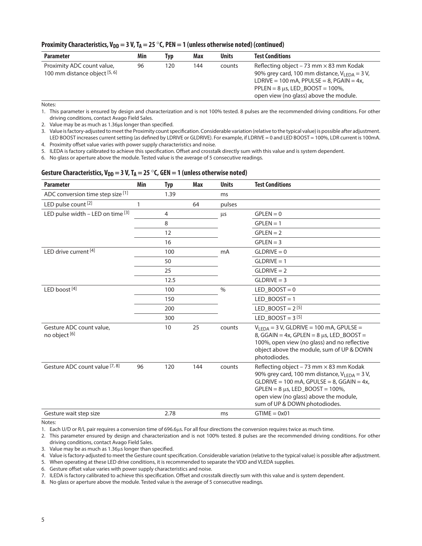#### **Proximity Characteristics,**  $V_{DD} = 3 V$ **,**  $T_A = 25 °C$ **, PEN = 1 (unless otherwise noted) (continued)**

| <b>Parameter</b>                                            | Min | <b>Typ</b> | Max | <b>Units</b> | <b>Test Conditions</b>                                                                                                                                                                                                                        |
|-------------------------------------------------------------|-----|------------|-----|--------------|-----------------------------------------------------------------------------------------------------------------------------------------------------------------------------------------------------------------------------------------------|
| Proximity ADC count value,<br>100 mm distance object [5, 6] | 96  | 120        | 144 | counts       | Reflecting object – 73 mm $\times$ 83 mm Kodak<br>90% grey card, 100 mm distance, $V_{\text{IFDA}} = 3 V$ ,<br>LDRIVE = 100 mA, PPULSE = 8, PGAIN = $4x$ ,<br>PPLEN = $8 \mu s$ , LED BOOST = 100%,<br>open view (no glass) above the module. |

Notes:

1. This parameter is ensured by design and characterization and is not 100% tested. 8 pulses are the recommended driving conditions. For other driving conditions, contact Avago Field Sales.

2. Value may be as much as 1.36μs longer than specified.

3. Value is factory-adjusted to meet the Proximity count specification. Considerable variation (relative to the typical value) is possible after adjustment. LED BOOST increases current setting (as defined by LDRIVE or GLDRIVE). For example, if LDRIVE = 0 and LED BOOST = 100%, LDR current is 100mA.

4. Proximity offset value varies with power supply characteristics and noise.

5. ILEDA is factory calibrated to achieve this specification. Offset and crosstalk directly sum with this value and is system dependent.

6. No glass or aperture above the module. Tested value is the average of 5 consecutive readings.

### Gesture Characteristics, V<sub>DD</sub> = 3 V, T<sub>A</sub> = 25 °C, GEN = 1 (unless otherwise noted)

| <b>Parameter</b>                                     | Min | <b>Typ</b> | Max | <b>Units</b> | <b>Test Conditions</b>                                                                                                                                                                                                                                                               |
|------------------------------------------------------|-----|------------|-----|--------------|--------------------------------------------------------------------------------------------------------------------------------------------------------------------------------------------------------------------------------------------------------------------------------------|
| ADC conversion time step size [1]                    |     | 1.39       |     | ms           |                                                                                                                                                                                                                                                                                      |
| LED pulse count [2]                                  | 1   |            | 64  | pulses       |                                                                                                                                                                                                                                                                                      |
| LED pulse width $-$ LED on time $[3]$                |     | 4          |     | μs           | $GPLEN = 0$                                                                                                                                                                                                                                                                          |
|                                                      |     | 8          |     |              | $GPLEN = 1$                                                                                                                                                                                                                                                                          |
|                                                      |     | 12         |     |              | $GPLEN = 2$                                                                                                                                                                                                                                                                          |
|                                                      |     | 16         |     |              | $GPLEN = 3$                                                                                                                                                                                                                                                                          |
| LED drive current $[4]$                              |     | 100        |     | mA           | $GLDRIVE = 0$                                                                                                                                                                                                                                                                        |
|                                                      |     | 50         |     |              | $GLDRIVE = 1$                                                                                                                                                                                                                                                                        |
|                                                      |     | 25         |     |              | $GLDRIVE = 2$                                                                                                                                                                                                                                                                        |
|                                                      |     | 12.5       |     |              | $GLDRIVE = 3$                                                                                                                                                                                                                                                                        |
| LED boost $[4]$                                      |     | 100        |     | $\%$         | LED BOOST = $0$                                                                                                                                                                                                                                                                      |
|                                                      |     | 150        |     |              | LED BOOST = $1$                                                                                                                                                                                                                                                                      |
|                                                      |     | 200        |     |              | LED BOOST = $2^{[5]}$                                                                                                                                                                                                                                                                |
|                                                      |     | 300        |     |              | LED_BOOST = $3^{[5]}$                                                                                                                                                                                                                                                                |
| Gesture ADC count value,<br>no object <sup>[6]</sup> |     | 10         | 25  | counts       | $V_{LEDA} = 3 V$ , GLDRIVE = 100 mA, GPULSE =<br>8, GGAIN = $4x$ , GPLEN = $8 \mu s$ , LED BOOST =<br>100%, open view (no glass) and no reflective<br>object above the module, sum of UP & DOWN<br>photodiodes.                                                                      |
| Gesture ADC count value [7, 8]                       | 96  | 120        | 144 | counts       | Reflecting object - 73 mm $\times$ 83 mm Kodak<br>90% grey card, 100 mm distance, $V_{\text{IFDA}} = 3 V$ ,<br>$GLDRIVE = 100 mA$ , $GPULE = 8$ , $GGAIN = 4x$ ,<br>$GPLEN = 8 \mu s$ , LED_BOOST = 100%,<br>open view (no glass) above the module,<br>sum of UP & DOWN photodiodes. |
| Gesture wait step size                               |     | 2.78       |     | ms           | $GTIME = 0x01$                                                                                                                                                                                                                                                                       |

Notes:

1. Each U/D or R/L pair requires a conversion time of 696.6µs. For all four directions the conversion requires twice as much time.

2. This parameter ensured by design and characterization and is not 100% tested. 8 pulses are the recommended driving conditions. For other driving conditions, contact Avago Field Sales.

3. Value may be as much as 1.36us longer than specified.

4. Value is factory-adjusted to meet the Gesture count specification. Considerable variation (relative to the typical value) is possible after adjustment.

5. When operating at these LED drive conditions, it is recommended to separate the VDD and VLEDA supplies.

6. Gesture offset value varies with power supply characteristics and noise.

7. ILEDA is factory calibrated to achieve this specification. Offset and crosstalk directly sum with this value and is system dependent.

8. No glass or aperture above the module. Tested value is the average of 5 consecutive readings.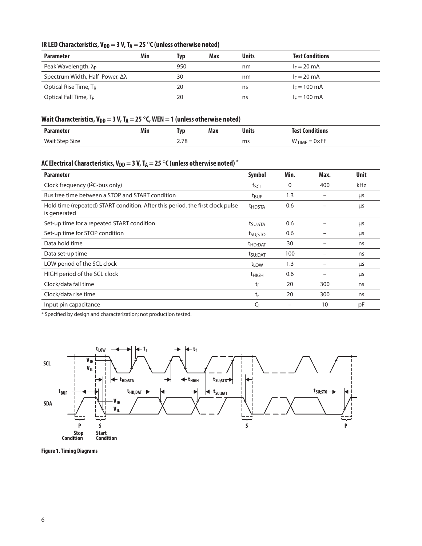## IR LED Characteristics,  $V_{DD} = 3 V$ ,  $T_A = 25 °C$  (unless otherwise noted)

| <b>Parameter</b>                            | Min | Typ | Max | <b>Units</b> | <b>Test Conditions</b> |
|---------------------------------------------|-----|-----|-----|--------------|------------------------|
| Peak Wavelength, $\lambda_{P}$              |     | 950 |     | nm           | $I_F = 20$ mA          |
| Spectrum Width, Half Power, $\Delta\lambda$ |     | 30  |     | nm           | $I_F = 20 \text{ mA}$  |
| Optical Rise Time, T <sub>R</sub>           |     | 20  |     | ns           | $F = 100 \text{ mA}$   |
| Optical Fall Time, T <sub>F</sub>           |     | 20  |     | ns           | $I_F = 100 \text{ mA}$ |

## Wait Characteristics,  $V_{DD} = 3 V$ ,  $T_A = 25 °C$ , WEN = 1 (unless otherwise noted)

| <b>Parameter</b>                | Min | Tyr           | Max | Units | Conditions<br>Tact |
|---------------------------------|-----|---------------|-----|-------|--------------------|
| <b>Wait Step</b><br><b>Size</b> |     | סד ר<br>2.7 U |     | ms    | W.<br>HME<br>וו∧ט  |

## AC Electrical Characteristics, V<sub>DD</sub> = 3 V, T<sub>A</sub> = 25  $^{\circ}$ C (unless otherwise noted)  $^{*}$

| <b>Parameter</b>                                                                               | Symbol               | Min. | Max. | <b>Unit</b> |
|------------------------------------------------------------------------------------------------|----------------------|------|------|-------------|
| Clock frequency (I <sup>2</sup> C-bus only)                                                    | fscl                 | 0    | 400  | kHz         |
| Bus free time between a STOP and START condition                                               | $t_{\text{BUF}}$     | 1.3  |      | μs          |
| Hold time (repeated) START condition. After this period, the first clock pulse<br>is generated | <b>THDSTA</b>        | 0.6  |      | μs          |
| Set-up time for a repeated START condition                                                     | t <sub>SU;</sub> STA | 0.6  |      | μs          |
| Set-up time for STOP condition                                                                 | tsu: STO             | 0.6  |      | μs          |
| Data hold time                                                                                 | <sup>t</sup> HD;DAT  | 30   |      | ns          |
| Data set-up time                                                                               | t <sub>SU</sub> :DAT | 100  |      | ns          |
| LOW period of the SCL clock                                                                    | t <sub>LOW</sub>     | 1.3  |      | μs          |
| HIGH period of the SCL clock                                                                   | $t_{HIGH}$           | 0.6  |      | μs          |
| Clock/data fall time                                                                           | tf                   | 20   | 300  | ns          |
| Clock/data rise time                                                                           | $t_{r}$              | 20   | 300  | ns          |
| Input pin capacitance                                                                          | $C_i$                |      | 10   | pF          |

\* Specified by design and characterization; not production tested.



**Figure 1. Timing Diagrams**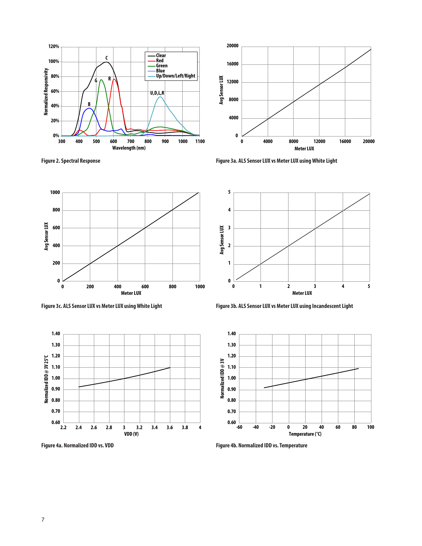

**Figure 2. Spectral Response**



**Figure 3a. ALS Sensor LUX vs Meter LUX using White Light**



**Figure 3c. ALS Sensor LUX vs Meter LUX using White Light**



**Figure 4a. Normalized IDD vs. VDD**



**Figure 3b. ALS Sensor LUX vs Meter LUX using Incandescent Light**



**Figure 4b. Normalized IDD vs. Temperature**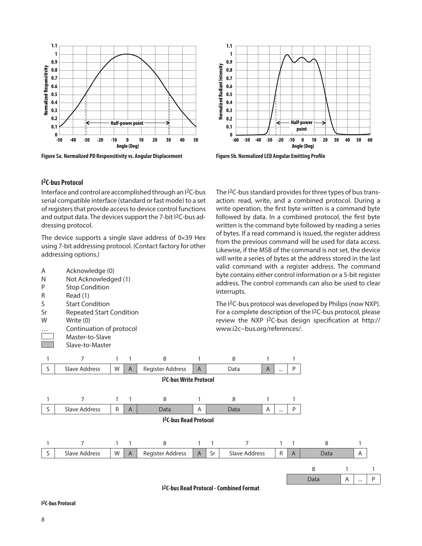

**Figure 5a. Normalized PD Responsitivity vs. Angular Displacement Figure 5b. Normalized LED Angular Emitting Profile**



The I2C-bus standard provides for three types of bus transaction: read, write, and a combined protocol. During a write operation, the first byte written is a command byte followed by data. In a combined protocol, the first byte written is the command byte followed by reading a series of bytes. If a read command is issued, the register address from the previous command will be used for data access. Likewise, if the MSB of the command is not set, the device

### **I 2C-bus Protocol**

Interface and control are accomplished through an I2C-bus serial compatible interface (standard or fast mode) to a set of registers that provide access to device control functions and output data. The devices support the 7-bit I<sup>2</sup>C-bus addressing protocol.

The device supports a single slave address of  $0 \times 39$  Hex using 7-bit addressing protocol. (Contact factory for other addressing options.)



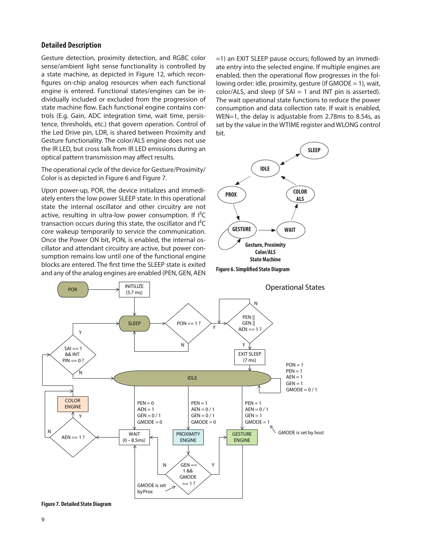#### **Detailed Description**

Gesture detection, proximity detection, and RGBC color sense/ambient light sense functionality is controlled by a state machine, as depicted in Figure 12, which reconfigures on-chip analog resources when each functional engine is entered. Functional states/engines can be individually included or excluded from the progression of state machine flow. Each functional engine contains controls (E.g. Gain, ADC integration time, wait time, persistence, thresholds, etc.) that govern operation. Control of the Led Drive pin, LDR, is shared between Proximity and Gesture functionality. The color/ALS engine does not use the IR LED, but cross talk from IR LED emissions during an optical pattern transmission may affect results.

The operational cycle of the device for Gesture/Proximity/ Color is as depicted in Figure 6 and Figure 7.

Upon power-up, POR, the device initializes and immediately enters the low power SLEEP state. In this operational state the internal oscillator and other circuitry are not active, resulting in ultra-low power consumption. If  $I^2C$ transaction occurs during this state, the oscillator and I²C core wakeup temporarily to service the communication. Once the Power ON bit, PON, is enabled, the internal oscillator and attendant circuitry are active, but power consumption remains low until one of the functional engine blocks are entered. The first time the SLEEP state is exited and any of the analog engines are enabled (PEN, GEN, AEN **Figure 6. Simplified State Diagram** 

=1) an EXIT SLEEP pause occurs; followed by an immediate entry into the selected engine. If multiple engines are enabled, then the operational flow progresses in the following order: idle, proximity, gesture (if GMODE = 1), wait,  $color/ALS$ , and sleep (if  $SAI = 1$  and INT pin is asserted). The wait operational state functions to reduce the power consumption and data collection rate. If wait is enabled, WEN=1, the delay is adjustable from 2.78ms to 8.54s, as set by the value in the WTIME register and WLONG control bit.





**Figure 7. Detailed State Diagram**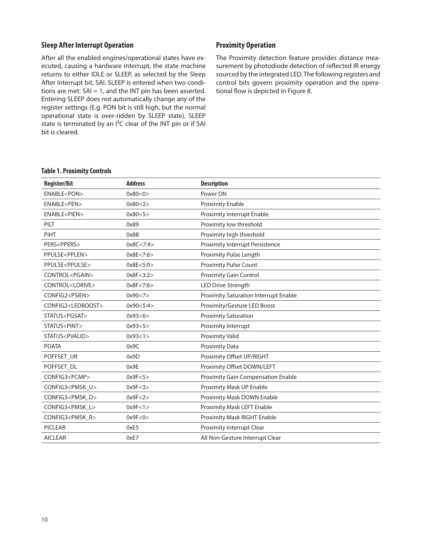### **Sleep After Interrupt Operation**

After all the enabled engines/operational states have executed, causing a hardware interrupt, the state machine returns to either IDLE or SLEEP, as selected by the Sleep After Interrupt bit, SAI. SLEEP is entered when two conditions are met:  $SAI = 1$ , and the INT pin has been asserted. Entering SLEEP does not automatically change any of the register settings (E.g. PON bit is still high, but the normal operational state is over-ridden by SLEEP state). SLEEP state is terminated by an  $I^2C$  clear of the INT pin or if SAI bit is cleared.

### **Proximity Operation**

The Proximity detection feature provides distance measurement by photodiode detection of reflected IR energy sourced by the integrated LED. The following registers and control bits govern proximity operation and the operational flow is depicted in Figure 8.

#### **Table 1. Proximity Controls**

| <b>Register/Bit</b>           | <b>Address</b> | <b>Description</b>                    |
|-------------------------------|----------------|---------------------------------------|
| ENABLE <pon></pon>            | 0x80 < 0       | Power ON                              |
| ENABLE <pen></pen>            | 0x80 < 2       | <b>Proximity Enable</b>               |
| ENABLE <pien></pien>          | 0x80 < 5       | Proximity Interrupt Enable            |
| PILT                          | 0x89           | Proximity low threshold               |
| PIHT                          | 0x8B           | Proximity high threshold              |
| PERS <ppers></ppers>          | 0x8C < 7:4>    | Proximity Interrupt Persistence       |
| PPULSE <pplen></pplen>        | 0x8E < 7:6>    | Proximity Pulse Length                |
| PPULSE <ppulse></ppulse>      | 0x8E < 5:0>    | <b>Proximity Pulse Count</b>          |
| CONTROL <pgain></pgain>       | 0x8F < 3:2>    | Proximity Gain Control                |
| CONTROL <ldrive></ldrive>     | 0x8F<7:6>      | <b>LED Drive Strength</b>             |
| CONFIG2 <psien></psien>       | 0x90 < 7       | Proximity Saturation Interrupt Enable |
| CONFIG2 <ledboost></ledboost> | 0x90 < 5:4>    | Proximity/Gesture LED Boost           |
| STATUS <pgsat></pgsat>        | 0x93<6>        | <b>Proximity Saturation</b>           |
| STATUS <pint></pint>          | 0x93 < 5       | Proximity Interrupt                   |
| STATUS <pvalid></pvalid>      | 0x93 < 1       | Proximity Valid                       |
| <b>PDATA</b>                  | 0x9C           | <b>Proximity Data</b>                 |
| POFFSET UR                    | 0x9D           | Proximity Offset UP/RIGHT             |
| POFFSET_DL                    | 0x9E           | Proximity Offset DOWN/LEFT            |
| CONFIG3 <pcmp></pcmp>         | 0x9F<5>        | Proximity Gain Compensation Enable    |
| CONFIG3 <pmsk u=""></pmsk>    | 0x9F<3>        | Proximity Mask UP Enable              |
| CONFIG3 <pmsk_d></pmsk_d>     | 0x9F<2>        | Proximity Mask DOWN Enable            |
| CONFIG3 <pmsk_l></pmsk_l>     | 0x9F<1>        | Proximity Mask LEFT Enable            |
| CONFIG3 <pmsk_r></pmsk_r>     | 0x9F<0>        | Proximity Mask RIGHT Enable           |
| <b>PICLEAR</b>                | 0xE5           | Proximity Interrupt Clear             |
| <b>AICLEAR</b>                | 0xE7           | All Non-Gesture Interrupt Clear       |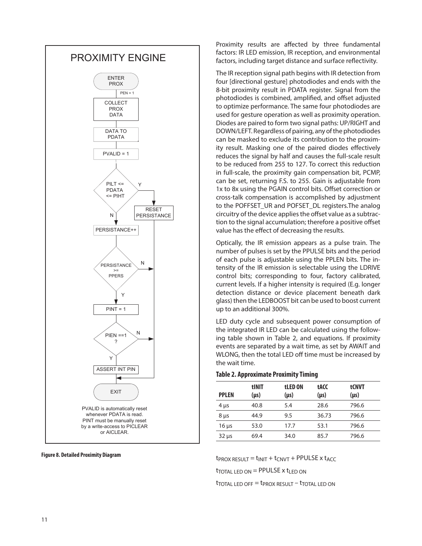

#### **Figure 8. Detailed Proximity Diagram**

Proximity results are affected by three fundamental factors: IR LED emission, IR reception, and environmental factors, including target distance and surface reflectivity.

The IR reception signal path begins with IR detection from four [directional gesture] photodiodes and ends with the 8-bit proximity result in PDATA register. Signal from the photodiodes is combined, amplified, and offset adjusted to optimize performance. The same four photodiodes are used for gesture operation as well as proximity operation. Diodes are paired to form two signal paths: UP/RIGHT and DOWN/LEFT. Regardless of pairing, any of the photodiodes can be masked to exclude its contribution to the proximity result. Masking one of the paired diodes effectively reduces the signal by half and causes the full-scale result to be reduced from 255 to 127. To correct this reduction in full-scale, the proximity gain compensation bit, PCMP, can be set, returning F.S. to 255. Gain is adjustable from 1x to 8x using the PGAIN control bits. Offset correction or cross-talk compensation is accomplished by adjustment to the POFFSET\_UR and POFSET\_DL registers.The analog circuitry of the device applies the offset value as a subtraction to the signal accumulation; therefore a positive offset value has the effect of decreasing the results.

Optically, the IR emission appears as a pulse train. The number of pulses is set by the PPULSE bits and the period of each pulse is adjustable using the PPLEN bits. The intensity of the IR emission is selectable using the LDRIVE control bits; corresponding to four, factory calibrated, current levels. If a higher intensity is required (E.g. longer detection distance or device placement beneath dark glass) then the LEDBOOST bit can be used to boost current up to an additional 300%.

LED duty cycle and subsequent power consumption of the integrated IR LED can be calculated using the following table shown in Table 2, and equations. If proximity events are separated by a wait time, as set by AWAIT and WLONG, then the total LED off time must be increased by the wait time.

#### **Table 2. Approximate Proximity Timing**

| <b>PPLEN</b> | tINIT<br>$(\mu s)$ | tLED ON<br>$(\mu s)$ | tACC<br>$(\mu s)$ | tCNVT<br>$(\mu s)$ |
|--------------|--------------------|----------------------|-------------------|--------------------|
| $4 \mu s$    | 40.8               | 5.4                  | 28.6              | 796.6              |
| $8 \mu s$    | 44.9               | 9.5                  | 36.73             | 796.6              |
| $16 \mu s$   | 53.0               | 17.7                 | 53.1              | 796.6              |
| $32 \mu s$   | 69.4               | 34.0                 | 85.7              | 796.6              |

 $t_{PROX}$  RESULT =  $t_{INIT} + t_{CNYT} + PPULSE$  x  $t_{ACC}$ 

 $t_{\text{TOTAL LED ON}} = \text{PPULEE} \times t_{\text{LED ON}}$ 

 $t_{\text{TOTAL LED OFF}} = t_{\text{PROX RESULT}} - t_{\text{TOTAL LED ON}}$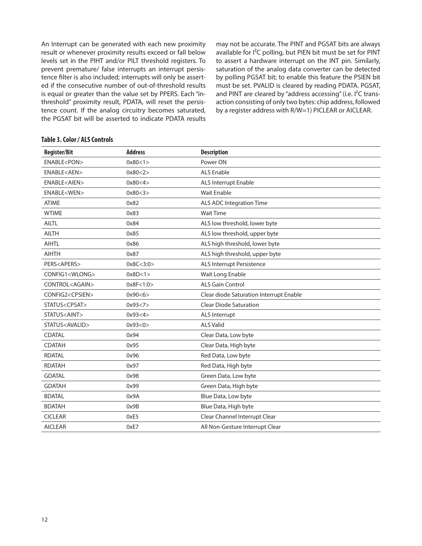An Interrupt can be generated with each new proximity result or whenever proximity results exceed or fall below levels set in the PIHT and/or PILT threshold registers. To prevent premature/ false interrupts an interrupt persistence filter is also included; interrupts will only be asserted if the consecutive number of out-of-threshold results is equal or greater than the value set by PPERS. Each "inthreshold" proximity result, PDATA, will reset the persistence count. If the analog circuitry becomes saturated, the PGSAT bit will be asserted to indicate PDATA results

may not be accurate. The PINT and PGSAT bits are always available for I<sup>2</sup>C polling, but PIEN bit must be set for PINT to assert a hardware interrupt on the INT pin. Similarly, saturation of the analog data converter can be detected by polling PGSAT bit; to enable this feature the PSIEN bit must be set. PVALID is cleared by reading PDATA. PGSAT, and PINT are cleared by "address accessing" (i.e. I<sup>2</sup>C transaction consisting of only two bytes: chip address, followed by a register address with R/W=1) PICLEAR or AICLEAR.

#### **Table 3. Color / ALS Controls**

| <b>Register/Bit</b>       | <b>Address</b> | <b>Description</b>                      |
|---------------------------|----------------|-----------------------------------------|
| ENABLE <pon></pon>        | 0x80 < 1       | Power ON                                |
| ENABLE <aen></aen>        | 0x80 < 2       | <b>ALS Enable</b>                       |
| ENABLE <aien></aien>      | 0x80 < 4       | ALS Interrupt Enable                    |
| ENABLE <wen></wen>        | 0x80 < 3       | <b>Wait Enable</b>                      |
| <b>ATIME</b>              | 0x82           | <b>ALS ADC Integration Time</b>         |
| <b>WTIME</b>              | 0x83           | <b>Wait Time</b>                        |
| <b>AILTL</b>              | 0x84           | ALS low threshold, lower byte           |
| <b>AILTH</b>              | 0x85           | ALS low threshold, upper byte           |
| <b>AIHTL</b>              | 0x86           | ALS high threshold, lower byte          |
| <b>AIHTH</b>              | 0x87           | ALS high threshold, upper byte          |
| PERS <apers></apers>      | 0x8C < 3:0>    | ALS Interrupt Persistence               |
| CONFIG1 <wlong></wlong>   | 0x8D<1>        | Wait Long Enable                        |
| CONTROL <again></again>   | 0x8F < 1:0>    | <b>ALS Gain Control</b>                 |
| CONFIG2 <cpsien></cpsien> | 0x90 < 6       | Clear diode Saturation Interrupt Enable |
| STATUS <cpsat></cpsat>    | 0x93 < 7       | <b>Clear Diode Saturation</b>           |
| STATUS <aint></aint>      | 0x93 < 4       | ALS Interrupt                           |
| STATUS <avalid></avalid>  | 0x93 < 0       | <b>ALS Valid</b>                        |
| CDATAL                    | 0x94           | Clear Data, Low byte                    |
| <b>CDATAH</b>             | 0x95           | Clear Data, High byte                   |
| <b>RDATAL</b>             | 0x96           | Red Data, Low byte                      |
| <b>RDATAH</b>             | 0x97           | Red Data, High byte                     |
| <b>GDATAL</b>             | 0x98           | Green Data, Low byte                    |
| <b>GDATAH</b>             | 0x99           | Green Data, High byte                   |
| <b>BDATAL</b>             | 0x9A           | Blue Data, Low byte                     |
| <b>BDATAH</b>             | 0x9B           | Blue Data, High byte                    |
| <b>CICLEAR</b>            | 0xE5           | Clear Channel Interrupt Clear           |
| <b>AICLEAR</b>            | 0xE7           | All Non-Gesture Interrupt Clear         |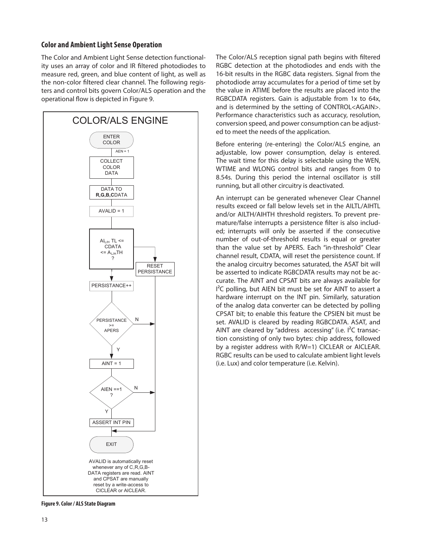### **Color and Ambient Light Sense Operation**

The Color and Ambient Light Sense detection functionality uses an array of color and IR filtered photodiodes to measure red, green, and blue content of light, as well as the non-color filtered clear channel. The following registers and control bits govern Color/ALS operation and the operational flow is depicted in Figure 9.



**Figure 9. Color / ALS State Diagram**

The Color/ALS reception signal path begins with filtered RGBC detection at the photodiodes and ends with the 16-bit results in the RGBC data registers. Signal from the photodiode array accumulates for a period of time set by the value in ATIME before the results are placed into the RGBCDATA registers. Gain is adjustable from 1x to 64x, and is determined by the setting of CONTROL<AGAIN>. Performance characteristics such as accuracy, resolution, conversion speed, and power consumption can be adjusted to meet the needs of the application.

Before entering (re-entering) the Color/ALS engine, an adjustable, low power consumption, delay is entered. The wait time for this delay is selectable using the WEN, WTIME and WLONG control bits and ranges from 0 to 8.54s. During this period the internal oscillator is still running, but all other circuitry is deactivated.

An interrupt can be generated whenever Clear Channel results exceed or fall below levels set in the AILTL/AIHTL and/or AILTH/AIHTH threshold registers. To prevent premature/false interrupts a persistence filter is also included; interrupts will only be asserted if the consecutive number of out-of-threshold results is equal or greater than the value set by APERS. Each "in-threshold" Clear channel result, CDATA, will reset the persistence count. If the analog circuitry becomes saturated, the ASAT bit will be asserted to indicate RGBCDATA results may not be accurate. The AINT and CPSAT bits are always available for  $I<sup>2</sup>C$  polling, but AIEN bit must be set for AINT to assert a hardware interrupt on the INT pin. Similarly, saturation of the analog data converter can be detected by polling CPSAT bit; to enable this feature the CPSIEN bit must be set. AVALID is cleared by reading RGBCDATA. ASAT, and AINT are cleared by "address accessing" (i.e.  $I^2C$  transaction consisting of only two bytes: chip address, followed by a register address with R/W=1) CICLEAR or AICLEAR. RGBC results can be used to calculate ambient light levels (i.e. Lux) and color temperature (i.e. Kelvin).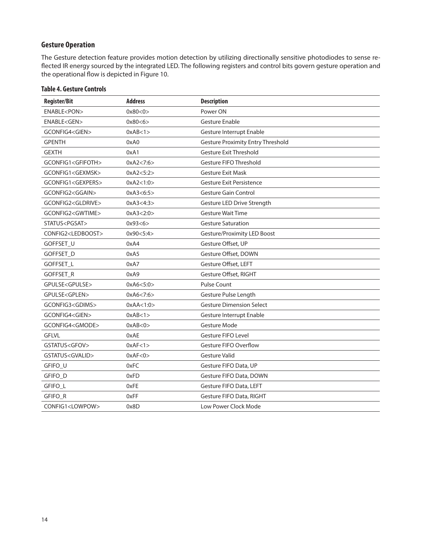## **Gesture Operation**

The Gesture detection feature provides motion detection by utilizing directionally sensitive photodiodes to sense reflected IR energy sourced by the integrated LED. The following registers and control bits govern gesture operation and the operational flow is depicted in Figure 10.

| <b>Register/Bit</b>           | <b>Address</b> | <b>Description</b>                       |
|-------------------------------|----------------|------------------------------------------|
| ENABLE <pon></pon>            | 0x80 < 0       | Power ON                                 |
| ENABLE <gen></gen>            | 0x80 < 6       | Gesture Enable                           |
| GCONFIG4 <gien></gien>        | 0xAB<1>        | Gesture Interrupt Enable                 |
| <b>GPENTH</b>                 | 0xA0           | <b>Gesture Proximity Entry Threshold</b> |
| <b>GEXTH</b>                  | 0xA1           | Gesture Exit Threshold                   |
| GCONFIG1 <gfifoth></gfifoth>  | 0xA2 < 7:6     | Gesture FIFO Threshold                   |
| GCONFIG1 <gexmsk></gexmsk>    | 0xA2 < 5:2>    | <b>Gesture Exit Mask</b>                 |
| GCONFIG1 <gexpers></gexpers>  | 0xA2<1:0>      | Gesture Exit Persistence                 |
| GCONFIG2 <ggain></ggain>      | 0xA3<6:5>      | <b>Gesture Gain Control</b>              |
| GCONFIG2 <gldrive></gldrive>  | 0xA3<4:3>      | Gesture LED Drive Strength               |
| GCONFIG2 <gwtime></gwtime>    | 0xA3 < 2:0     | <b>Gesture Wait Time</b>                 |
| STATUS <pgsat></pgsat>        | 0x93<6>        | <b>Gesture Saturation</b>                |
| CONFIG2 <ledboost></ledboost> | 0x90 < 5:4>    | Gesture/Proximity LED Boost              |
| GOFFSET_U                     | 0xA4           | Gesture Offset, UP                       |
| GOFFSET_D                     | 0xA5           | Gesture Offset, DOWN                     |
| <b>GOFFSET L</b>              | 0xA7           | Gesture Offset, LEFT                     |
| GOFFSET_R                     | 0xA9           | Gesture Offset, RIGHT                    |
| GPULSE <gpulse></gpulse>      | 0xA6 < 5:0     | <b>Pulse Count</b>                       |
| GPULSE <gplen></gplen>        | 0xA6 < 7:6     | Gesture Pulse Length                     |
| GCONFIG3 <gdims></gdims>      | 0xAA<1:0>      | <b>Gesture Dimension Select</b>          |
| GCONFIG4 <gien></gien>        | 0xAB<1>        | Gesture Interrupt Enable                 |
| GCONFIG4 <gmode></gmode>      | 0xAB < 0       | <b>Gesture Mode</b>                      |
| <b>GFLVL</b>                  | 0xAE           | Gesture FIFO Level                       |
| GSTATUS <gfov></gfov>         | 0xAF < 1>      | Gesture FIFO Overflow                    |
| GSTATUS <gvalid></gvalid>     | 0xAF < 0       | <b>Gesture Valid</b>                     |
| GFIFO_U                       | 0xFC           | Gesture FIFO Data, UP                    |
| GFIFO_D                       | 0xFD           | Gesture FIFO Data, DOWN                  |
| GFIFO_L                       | 0xFE           | Gesture FIFO Data, LEFT                  |
| GFIFO_R                       | 0xFF           | Gesture FIFO Data, RIGHT                 |
| CONFIG1 <lowpow></lowpow>     | 0x8D           | Low Power Clock Mode                     |

### **Table 4. Gesture Controls**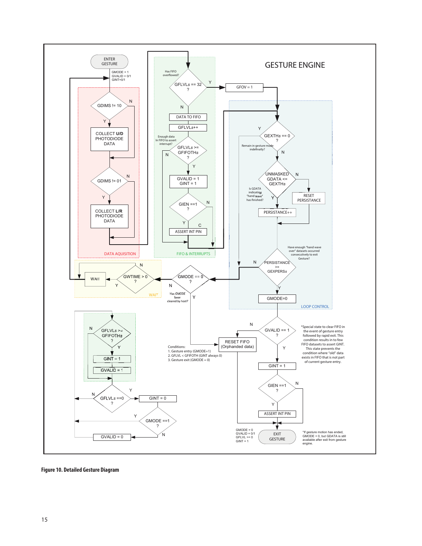

**Figure 10. Detailed Gesture Diagram**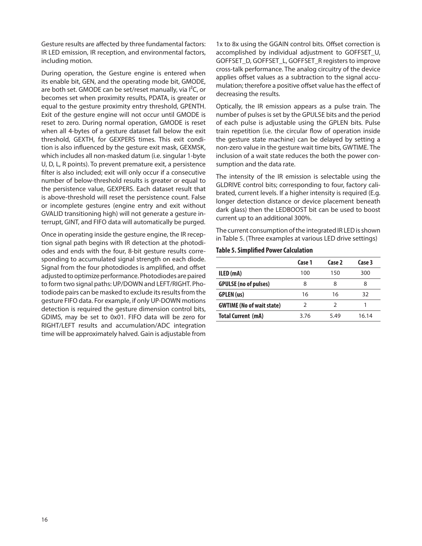Gesture results are affected by three fundamental factors: IR LED emission, IR reception, and environmental factors, including motion.

During operation, the Gesture engine is entered when its enable bit, GEN, and the operating mode bit, GMODE, are both set. GMODE can be set/reset manually, via  $I^2C$ , or becomes set when proximity results, PDATA, is greater or equal to the gesture proximity entry threshold, GPENTH. Exit of the gesture engine will not occur until GMODE is reset to zero. During normal operation, GMODE is reset when all 4-bytes of a gesture dataset fall below the exit threshold, GEXTH, for GEXPERS times. This exit condition is also influenced by the gesture exit mask, GEXMSK, which includes all non-masked datum (i.e. singular 1-byte U, D, L, R points). To prevent premature exit, a persistence filter is also included; exit will only occur if a consecutive number of below-threshold results is greater or equal to the persistence value, GEXPERS. Each dataset result that is above-threshold will reset the persistence count. False or incomplete gestures (engine entry and exit without GVALID transitioning high) will not generate a gesture interrupt, GINT, and FIFO data will automatically be purged.

Once in operating inside the gesture engine, the IR reception signal path begins with IR detection at the photodiodes and ends with the four, 8-bit gesture results corresponding to accumulated signal strength on each diode. Signal from the four photodiodes is amplified, and offset adjusted to optimize performance. Photodiodes are paired to form two signal paths: UP/DOWN and LEFT/RIGHT. Photodiode pairs can be masked to exclude its results from the gesture FIFO data. For example, if only UP-DOWN motions detection is required the gesture dimension control bits, GDIMS, may be set to 0x01. FIFO data will be zero for RIGHT/LEFT results and accumulation/ADC integration time will be approximately halved. Gain is adjustable from

1x to 8x using the GGAIN control bits. Offset correction is accomplished by individual adjustment to GOFFSET U, GOFFSET\_D, GOFFSET\_L, GOFFSET\_R registers to improve cross-talk performance. The analog circuitry of the device applies offset values as a subtraction to the signal accumulation; therefore a positive offset value has the effect of decreasing the results.

Optically, the IR emission appears as a pulse train. The number of pulses is set by the GPULSE bits and the period of each pulse is adjustable using the GPLEN bits. Pulse train repetition (i.e. the circular flow of operation inside the gesture state machine) can be delayed by setting a non-zero value in the gesture wait time bits, GWTIME. The inclusion of a wait state reduces the both the power consumption and the data rate.

The intensity of the IR emission is selectable using the GLDRIVE control bits; corresponding to four, factory calibrated, current levels. If a higher intensity is required (E.g. longer detection distance or device placement beneath dark glass) then the LEDBOOST bit can be used to boost current up to an additional 300%.

The current consumption of the integrated IR LED is shown in Table 5. (Three examples at various LED drive settings)

#### **Table 5. Simplified Power Calculation**

|                                  | Case 1 | Case 2        | Case 3 |
|----------------------------------|--------|---------------|--------|
| ILED (mA)                        | 100    | 150           | 300    |
| <b>GPULSE</b> (no of pulses)     | 8      | 8             | 8      |
| <b>GPLEN</b> (us)                | 16     | 16            | 32     |
| <b>GWTIME</b> (No of wait state) | ς      | $\mathcal{P}$ | 1      |
| <b>Total Current (mA)</b>        | 3.76   | 5.49          | 16.14  |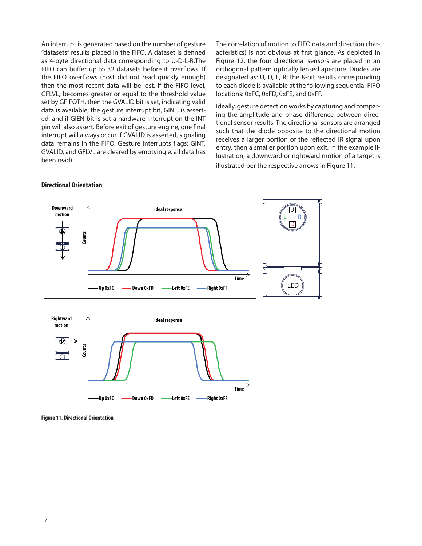An interrupt is generated based on the number of gesture "datasets" results placed in the FIFO. A dataset is defined as 4-byte directional data corresponding to U-D-L-R.The FIFO can buffer up to 32 datasets before it overflows. If the FIFO overflows (host did not read quickly enough) then the most recent data will be lost. If the FIFO level, GFLVL, becomes greater or equal to the threshold value set by GFIFOTH, then the GVALID bit is set, indicating valid data is available; the gesture interrupt bit, GINT, is asserted, and if GIEN bit is set a hardware interrupt on the INT pin will also assert. Before exit of gesture engine, one final interrupt will always occur if GVALID is asserted, signaling data remains in the FIFO. Gesture Interrupts flags: GINT, GVALID, and GFLVL are cleared by emptying e. all data has been read).

The correlation of motion to FIFO data and direction characteristics) is not obvious at first glance. As depicted in Figure 12, the four directional sensors are placed in an orthogonal pattern optically lensed aperture. Diodes are designated as: U, D, L, R; the 8-bit results corresponding to each diode is available at the following sequential FIFO locations: 0xFC, 0xFD, 0xFE, and 0xFF.

Ideally, gesture detection works by capturing and comparing the amplitude and phase difference between directional sensor results. The directional sensors are arranged such that the diode opposite to the directional motion receives a larger portion of the reflected IR signal upon entry, then a smaller portion upon exit. In the example illustration, a downward or rightward motion of a target is illustrated per the respective arrows in Figure 11.



#### **Directional Orientation**

**Figure 11. Directional Orientation**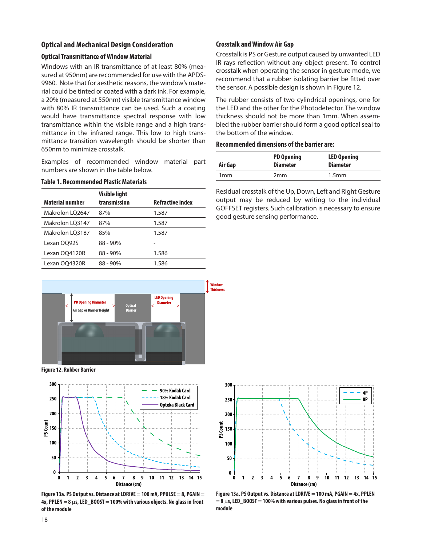#### **Optical and Mechanical Design Consideration**

#### **Optical Transmittance of Window Material**

Windows with an IR transmittance of at least 80% (measured at 950nm) are recommended for use with the APDS-9960. Note that for aesthetic reasons, the window's material could be tinted or coated with a dark ink. For example, a 20% (measured at 550nm) visible transmittance window with 80% IR transmittance can be used. Such a coating would have transmittance spectral response with low transmittance within the visible range and a high transmittance in the infrared range. This low to high transmittance transition wavelength should be shorter than 650nm to minimize crosstalk.

Examples of recommended window material part numbers are shown in the table below.

#### **Table 1. Recommended Plastic Materials**

| <b>Material number</b> | <b>Visible light</b><br>transmission | <b>Refractive index</b> |
|------------------------|--------------------------------------|-------------------------|
| Makrolon LO2647        | 87%                                  | 1.587                   |
| Makrolon LO3147        | 87%                                  | 1.587                   |
| Makrolon LQ3187        | 85%                                  | 1.587                   |
| Lexan OQ92S            | $88 - 90\%$                          |                         |
| Lexan OQ4120R          | $88 - 90\%$                          | 1.586                   |
| Lexan OQ4320R          | $88 - 90\%$                          | 1.586                   |

#### **Crosstalk and Window Air Gap**

Crosstalk is PS or Gesture output caused by unwanted LED IR rays reflection without any object present. To control crosstalk when operating the sensor in gesture mode, we recommend that a rubber isolating barrier be fitted over the sensor. A possible design is shown in Figure 12.

The rubber consists of two cylindrical openings, one for the LED and the other for the Photodetector. The window thickness should not be more than 1mm. When assembled the rubber barrier should form a good optical seal to the bottom of the window.

#### **Recommended dimensions of the barrier are:**

| Air Gap         | <b>PD Opening</b><br><b>Diameter</b> | <b>LED Opening</b><br><b>Diameter</b> |
|-----------------|--------------------------------------|---------------------------------------|
| 1 <sub>mm</sub> | 2mm                                  | 1.5 <sub>mm</sub>                     |

Residual crosstalk of the Up, Down, Left and Right Gesture output may be reduced by writing to the individual GOFFSET registers. Such calibration is necessary to ensure good gesture sensing performance.



**Figure 12. Rubber Barrier**



**Figure 13a. PS Output vs. Distance at LDRIVE = 100 mA, PPULSE = 8, PGAIN = 4x, PPLEN = 8** m**s, LED\_BOOST = 100% with various objects. No glass in front of the module**



**Figure 13a. PS Output vs. Distance at LDRIVE = 100 mA, PGAIN = 4x, PPLEN = 8** m**s, LED\_BOOST = 100% with various pulses. No glass in front of the module**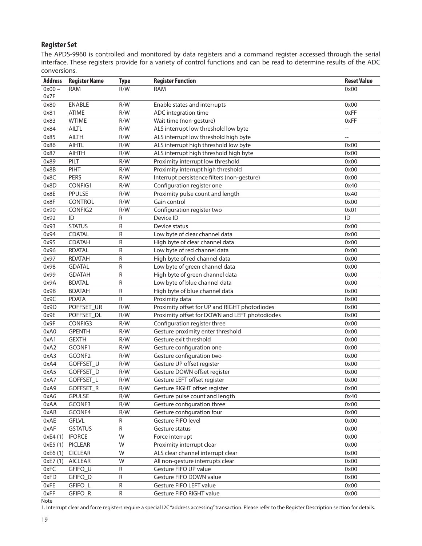## **Register Set**

The APDS-9960 is controlled and monitored by data registers and a command register accessed through the serial interface. These registers provide for a variety of control functions and can be read to determine results of the ADC conversions.

| <b>Address</b> | <b>Register Name</b> | <b>Type</b> | <b>Register Function</b>                       | <b>Reset Value</b>       |
|----------------|----------------------|-------------|------------------------------------------------|--------------------------|
| $0x00 -$       | <b>RAM</b>           | R/W         | <b>RAM</b>                                     | 0x00                     |
| 0x7F           |                      |             |                                                |                          |
| 0x80           | <b>ENABLE</b>        | R/W         | Enable states and interrupts                   | 0x00                     |
| 0x81           | <b>ATIME</b>         | R/W         | ADC integration time                           | 0xFF                     |
| 0x83           | <b>WTIME</b>         | R/W         | Wait time (non-gesture)                        | 0xFF                     |
| 0x84           | <b>AILTL</b>         | R/W         | ALS interrupt low threshold low byte           | $\overline{\phantom{a}}$ |
| 0x85           | <b>AILTH</b>         | R/W         | ALS interrupt low threshold high byte          | $\overline{\phantom{a}}$ |
| 0x86           | <b>AIHTL</b>         | R/W         | ALS interrupt high threshold low byte          | 0x00                     |
| 0x87           | <b>AIHTH</b>         | R/W         | ALS interrupt high threshold high byte         | 0x00                     |
| 0x89           | PILT                 | R/W         | Proximity interrupt low threshold              | 0x00                     |
| 0x8B           | PIHT                 | R/W         | Proximity interrupt high threshold             | 0x00                     |
| 0x8C           | <b>PERS</b>          | R/W         | Interrupt persistence filters (non-gesture)    | 0x00                     |
| 0x8D           | CONFIG1              | R/W         | Configuration register one                     | 0x40                     |
| 0x8E           | PPULSE               | R/W         | Proximity pulse count and length               | 0x40                     |
| 0x8F           | CONTROL              | R/W         | Gain control                                   | 0x00                     |
| 0x90           | CONFIG2              | R/W         | Configuration register two                     | 0x01                     |
| 0x92           | ID                   | R           | Device ID                                      | ID                       |
| 0x93           | <b>STATUS</b>        | R           | Device status                                  | 0x00                     |
| 0x94           | <b>CDATAL</b>        | R           | Low byte of clear channel data                 | 0x00                     |
| 0x95           | <b>CDATAH</b>        | R           | High byte of clear channel data                | 0x00                     |
| 0x96           | <b>RDATAL</b>        | ${\sf R}$   | Low byte of red channel data                   | 0x00                     |
| 0x97           | <b>RDATAH</b>        | R           | High byte of red channel data                  | 0x00                     |
| 0x98           | <b>GDATAL</b>        | ${\sf R}$   | Low byte of green channel data                 | 0x00                     |
| 0x99           | <b>GDATAH</b>        | R           | High byte of green channel data                | 0x00                     |
| 0x9A           | <b>BDATAL</b>        | ${\sf R}$   | Low byte of blue channel data                  | 0x00                     |
| 0x9B           | <b>BDATAH</b>        | R           | High byte of blue channel data                 | 0x00                     |
| 0x9C           | <b>PDATA</b>         | R           | Proximity data                                 | 0x00                     |
| 0x9D           | POFFSET_UR           | R/W         | Proximity offset for UP and RIGHT photodiodes  | 0x00                     |
| 0x9E           | POFFSET_DL           | R/W         | Proximity offset for DOWN and LEFT photodiodes | 0x00                     |
| 0x9F           | CONFIG3              | R/W         | Configuration register three                   | 0x00                     |
| 0xA0           | <b>GPENTH</b>        | R/W         | Gesture proximity enter threshold              | 0x00                     |
| 0xA1           | <b>GEXTH</b>         | R/W         | Gesture exit threshold                         | 0x00                     |
| 0xA2           | GCONF1               | R/W         | Gesture configuration one                      | 0x00                     |
| 0xA3           | GCONF2               | R/W         | Gesture configuration two                      | 0x00                     |
| 0xA4           | GOFFSET_U            | R/W         | Gesture UP offset register                     | 0x00                     |
| 0xA5           | GOFFSET_D            | R/W         | Gesture DOWN offset register                   | 0x00                     |
| 0xA7           | GOFFSET_L            | R/W         | Gesture LEFT offset register                   | 0x00                     |
| 0xA9           | GOFFSET_R            | R/W         | Gesture RIGHT offset register                  | 0x00                     |
| 0xA6           | <b>GPULSE</b>        | R/W         | Gesture pulse count and length                 | 0x40                     |
| 0xAA           | GCONF3               | R/W         | Gesture configuration three                    | 0x00                     |
| 0xAB           | GCONF4               | R/W         | Gesture configuration four                     | 0x00                     |
| 0xAE           | <b>GFLVL</b>         | R           | Gesture FIFO level                             | 0x00                     |
| 0xAF           | <b>GSTATUS</b>       | R           | Gesture status                                 | 0x00                     |
| 0xE4(1)        | <b>IFORCE</b>        | W           | Force interrupt                                | 0x00                     |
| 0xE5(1)        | PICLEAR              | W           | Proximity interrupt clear                      | 0x00                     |
| 0xE6(1)        | <b>CICLEAR</b>       | W           | ALS clear channel interrupt clear              | 0x00                     |
| 0xE7(1)        | <b>AICLEAR</b>       | W           | All non-gesture interrupts clear               | 0x00                     |
| 0xFC           | GFIFO_U              | R           | Gesture FIFO UP value                          | 0x00                     |
| 0xFD           | GFIFO_D              | R           | Gesture FIFO DOWN value                        | 0x00                     |
| 0xFE           | GFIFO_L              | R           | Gesture FIFO LEFT value                        | 0x00                     |
| 0xFF           | GFIFO_R              | R           | Gesture FIFO RIGHT value                       | 0x00                     |

**Note** 

1. Interrupt clear and force registers require a special I2C "address accessing" transaction. Please refer to the Register Description section for details.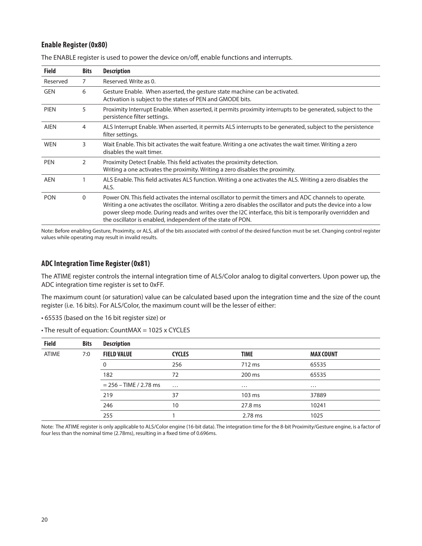### **Enable Register (0x80)**

| <b>Field</b> | <b>Bits</b> | <b>Description</b>                                                                                                                                                                                                                                                                                                                                                                                   |
|--------------|-------------|------------------------------------------------------------------------------------------------------------------------------------------------------------------------------------------------------------------------------------------------------------------------------------------------------------------------------------------------------------------------------------------------------|
| Reserved     | 7           | Reserved, Write as 0.                                                                                                                                                                                                                                                                                                                                                                                |
| GEN          | 6           | Gesture Enable. When asserted, the gesture state machine can be activated.<br>Activation is subject to the states of PEN and GMODE bits.                                                                                                                                                                                                                                                             |
| <b>PIEN</b>  | 5           | Proximity Interrupt Enable. When asserted, it permits proximity interrupts to be generated, subject to the<br>persistence filter settings.                                                                                                                                                                                                                                                           |
| <b>AIEN</b>  | 4           | ALS Interrupt Enable. When asserted, it permits ALS interrupts to be generated, subject to the persistence<br>filter settings.                                                                                                                                                                                                                                                                       |
| <b>WEN</b>   | 3           | Wait Enable. This bit activates the wait feature. Writing a one activates the wait timer. Writing a zero<br>disables the wait timer.                                                                                                                                                                                                                                                                 |
| <b>PEN</b>   | 2           | Proximity Detect Enable. This field activates the proximity detection.<br>Writing a one activates the proximity. Writing a zero disables the proximity.                                                                                                                                                                                                                                              |
| <b>AEN</b>   |             | ALS Enable. This field activates ALS function. Writing a one activates the ALS. Writing a zero disables the<br>ALS.                                                                                                                                                                                                                                                                                  |
| <b>PON</b>   | $\Omega$    | Power ON. This field activates the internal oscillator to permit the timers and ADC channels to operate.<br>Writing a one activates the oscillator. Writing a zero disables the oscillator and puts the device into a low<br>power sleep mode. During reads and writes over the I2C interface, this bit is temporarily overridden and<br>the oscillator is enabled, independent of the state of PON. |

The ENABLE register is used to power the device on/off, enable functions and interrupts.

Note: Before enabling Gesture, Proximity, or ALS, all of the bits associated with control of the desired function must be set. Changing control register values while operating may result in invalid results.

### **ADC Integration Time Register (0x81)**

The ATIME register controls the internal integration time of ALS/Color analog to digital converters. Upon power up, the ADC integration time register is set to 0xFF.

The maximum count (or saturation) value can be calculated based upon the integration time and the size of the count register (i.e. 16 bits). For ALS/Color, the maximum count will be the lesser of either:

• 65535 (based on the 16 bit register size) or

|  | • The result of equation: CountMAX = 1025 x CYCLES |
|--|----------------------------------------------------|
|--|----------------------------------------------------|

| <b>Field</b> | <b>Bits</b> | <b>Description</b>       |               |             |                  |
|--------------|-------------|--------------------------|---------------|-------------|------------------|
| <b>ATIME</b> | 7:0         | <b>FIELD VALUE</b>       | <b>CYCLES</b> | <b>TIME</b> | <b>MAX COUNT</b> |
|              |             | 0                        | 256           | 712 ms      | 65535            |
|              |             | 182                      | 72            | 200 ms      | 65535            |
|              |             | $= 256 - TIME / 2.78 ms$ | $\cdots$      | $\cdots$    | $\cdots$         |
|              |             | 219                      | 37            | 103 ms      | 37889            |
|              |             | 246                      | 10            | 27.8 ms     | 10241            |
|              |             | 255                      |               | 2.78 ms     | 1025             |

Note: The ATIME register is only applicable to ALS/Color engine (16-bit data). The integration time for the 8-bit Proximity/Gesture engine, is a factor of four less than the nominal time (2.78ms), resulting in a fixed time of 0.696ms.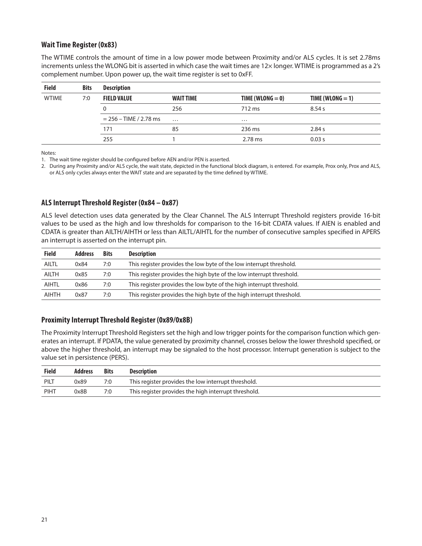### **Wait Time Register (0x83)**

The WTIME controls the amount of time in a low power mode between Proximity and/or ALS cycles. It is set 2.78ms increments unless the WLONG bit is asserted in which case the wait times are 12× longer. WTIME is programmed as a 2's complement number. Upon power up, the wait time register is set to 0xFF.

| <b>Field</b> | <b>Bits</b> | <b>Description</b>       |                  |                    |                    |  |  |
|--------------|-------------|--------------------------|------------------|--------------------|--------------------|--|--|
| <b>WTIME</b> | 7:0         | <b>FIELD VALUE</b>       | <b>WAIT TIME</b> | TIME (WLONG $=$ 0) | TIME (WLONG $=$ 1) |  |  |
|              |             |                          | 256              | 712 ms             | 8.54 s             |  |  |
|              |             | $= 256 - TIME / 2.78 ms$ | $\cdots$         | $\cdots$           |                    |  |  |
|              |             | 171                      | 85               | 236 ms             | 2.84 s             |  |  |
|              |             | 255                      |                  | $2.78$ ms          | 0.03 s             |  |  |

Notes:

1. The wait time register should be configured before AEN and/or PEN is asserted.

2. During any Proximity and/or ALS cycle, the wait state, depicted in the functional block diagram, is entered. For example, Prox only, Prox and ALS, or ALS only cycles always enter the WAIT state and are separated by the time defined by WTIME.

### **ALS Interrupt Threshold Register (0x84 – 0x87)**

ALS level detection uses data generated by the Clear Channel. The ALS Interrupt Threshold registers provide 16-bit values to be used as the high and low thresholds for comparison to the 16-bit CDATA values. If AIEN is enabled and CDATA is greater than AILTH/AIHTH or less than AILTL/AIHTL for the number of consecutive samples specified in APERS an interrupt is asserted on the interrupt pin.

| <b>Field</b> | <b>Address</b> | <b>Bits</b> | <b>Description</b>                                                    |
|--------------|----------------|-------------|-----------------------------------------------------------------------|
| <b>AILTL</b> | 0x84           | 7:0         | This register provides the low byte of the low interrupt threshold.   |
| <b>AILTH</b> | 0x85           | 7:0         | This register provides the high byte of the low interrupt threshold.  |
| AIHTL        | 0x86           | 7:0         | This register provides the low byte of the high interrupt threshold.  |
| <b>AIHTH</b> | 0x87           | 7:0         | This register provides the high byte of the high interrupt threshold. |

### **Proximity Interrupt Threshold Register (0x89/0x8B)**

The Proximity Interrupt Threshold Registers set the high and low trigger points for the comparison function which generates an interrupt. If PDATA, the value generated by proximity channel, crosses below the lower threshold specified, or above the higher threshold, an interrupt may be signaled to the host processor. Interrupt generation is subject to the value set in persistence (PERS).

| <b>Field</b> | <b>Address</b> | <b>Bits</b> | <b>Description</b>                                   |
|--------------|----------------|-------------|------------------------------------------------------|
| PILT         | 0x89           | 7:0         | This register provides the low interrupt threshold.  |
| PIHT         | 0x8B           | 7:0         | This register provides the high interrupt threshold. |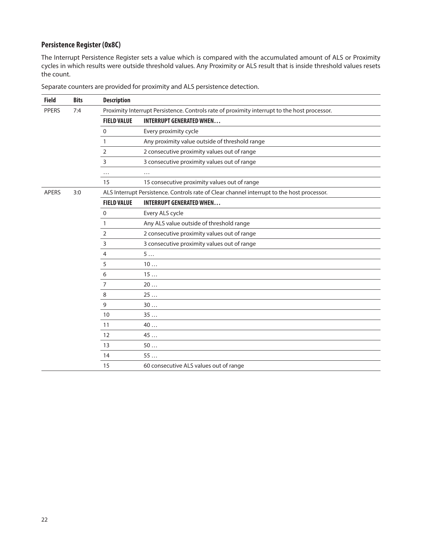## **Persistence Register (0x8C)**

The Interrupt Persistence Register sets a value which is compared with the accumulated amount of ALS or Proximity cycles in which results were outside threshold values. Any Proximity or ALS result that is inside threshold values resets the count.

| <b>Field</b> | <b>Bits</b> | <b>Description</b> |                                                                                              |
|--------------|-------------|--------------------|----------------------------------------------------------------------------------------------|
| <b>PPERS</b> | 7:4         |                    | Proximity Interrupt Persistence. Controls rate of proximity interrupt to the host processor. |
|              |             | <b>FIELD VALUE</b> | <b>INTERRUPT GENERATED WHEN</b>                                                              |
|              |             | 0                  | Every proximity cycle                                                                        |
|              |             | $\mathbf{1}$       | Any proximity value outside of threshold range                                               |
|              |             | 2                  | 2 consecutive proximity values out of range                                                  |
|              |             | $\overline{3}$     | 3 consecutive proximity values out of range                                                  |
|              |             | $\cdots$           | $\cdots$                                                                                     |
|              |             | 15                 | 15 consecutive proximity values out of range                                                 |
| <b>APERS</b> | 3:0         |                    | ALS Interrupt Persistence. Controls rate of Clear channel interrupt to the host processor.   |
|              |             | <b>FIELD VALUE</b> | <b>INTERRUPT GENERATED WHEN</b>                                                              |
|              |             | $\mathbf 0$        | Every ALS cycle                                                                              |
|              |             | $\mathbf{1}$       | Any ALS value outside of threshold range                                                     |
|              |             | $\overline{2}$     | 2 consecutive proximity values out of range                                                  |
|              |             | $\overline{3}$     | 3 consecutive proximity values out of range                                                  |
|              |             | 4                  | 5                                                                                            |
|              |             | 5                  | 10                                                                                           |
|              |             | 6                  | 15                                                                                           |
|              |             | $\overline{7}$     | 20                                                                                           |
|              |             | 8                  | 25                                                                                           |
|              |             | 9                  | 30                                                                                           |
|              |             | 10                 | 35                                                                                           |
|              |             | 11                 | 40                                                                                           |
|              |             | 12                 | 45 $\dots$                                                                                   |
|              |             | 13                 | 50                                                                                           |
|              |             | 14                 | 55                                                                                           |
|              |             | 15                 | 60 consecutive ALS values out of range                                                       |

Separate counters are provided for proximity and ALS persistence detection.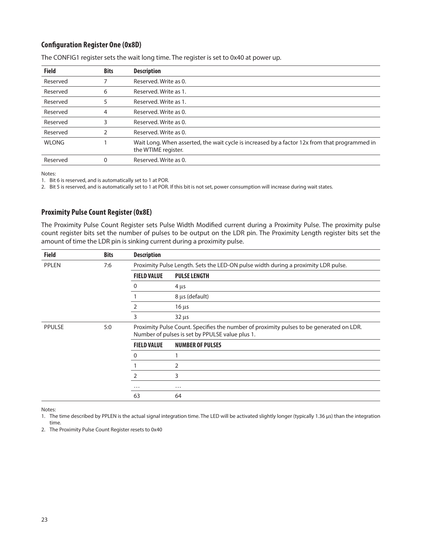## **Configuration Register One (0x8D)**

| <b>Bits</b> | <b>Description</b>                                                                                                   |
|-------------|----------------------------------------------------------------------------------------------------------------------|
|             | Reserved. Write as 0.                                                                                                |
| 6           | Reserved. Write as 1.                                                                                                |
|             | Reserved. Write as 1.                                                                                                |
| 4           | Reserved, Write as 0.                                                                                                |
| 3           | Reserved. Write as 0.                                                                                                |
| 2           | Reserved, Write as 0.                                                                                                |
|             | Wait Long. When asserted, the wait cycle is increased by a factor 12x from that programmed in<br>the WTIME register. |
| 0           | Reserved, Write as 0.                                                                                                |
|             |                                                                                                                      |

The CONFIG1 register sets the wait long time. The register is set to 0x40 at power up.

Notes:

1. Bit 6 is reserved, and is automatically set to 1 at POR.

2. Bit 5 is reserved, and is automatically set to 1 at POR. If this bit is not set, power consumption will increase during wait states.

## **Proximity Pulse Count Register (0x8E)**

The Proximity Pulse Count Register sets Pulse Width Modified current during a Proximity Pulse. The proximity pulse count register bits set the number of pulses to be output on the LDR pin. The Proximity Length register bits set the amount of time the LDR pin is sinking current during a proximity pulse.

| <b>Field</b> | <b>Bits</b> | <b>Description</b> |                                                                                                                                            |
|--------------|-------------|--------------------|--------------------------------------------------------------------------------------------------------------------------------------------|
| <b>PPLEN</b> | 7:6         |                    | Proximity Pulse Length. Sets the LED-ON pulse width during a proximity LDR pulse.                                                          |
|              |             | <b>FIELD VALUE</b> | <b>PULSE LENGTH</b>                                                                                                                        |
|              |             | 0                  | $4 \mu s$                                                                                                                                  |
|              |             |                    | 8 µs (default)                                                                                                                             |
|              |             | 2                  | $16 \mu s$                                                                                                                                 |
|              |             | 3                  | $32 \mu s$                                                                                                                                 |
| PPULSE       | 5:0         |                    | Proximity Pulse Count. Specifies the number of proximity pulses to be generated on LDR.<br>Number of pulses is set by PPULSE value plus 1. |
|              |             | <b>FIELD VALUE</b> | <b>NUMBER OF PULSES</b>                                                                                                                    |
|              |             | 0                  |                                                                                                                                            |
|              |             |                    | 2                                                                                                                                          |
|              |             |                    | 3                                                                                                                                          |
|              |             | $\cdots$           | $\cdots$                                                                                                                                   |
|              |             | 63                 | 64                                                                                                                                         |

Notes:

1. The time described by PPLEN is the actual signal integration time. The LED will be activated slightly longer (typically 1.36 μs) than the integration time.

2. The Proximity Pulse Count Register resets to 0x40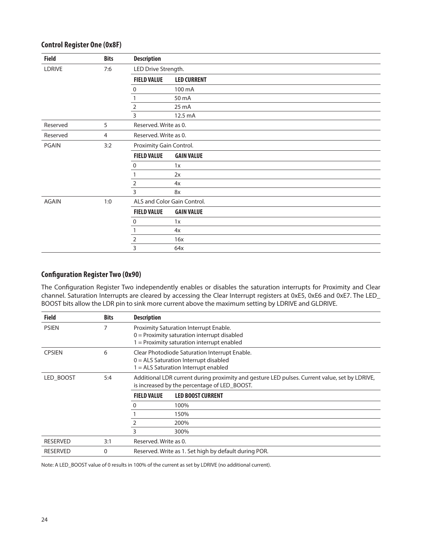| <b>Field</b> | <b>Bits</b>    | <b>Description</b>      |                             |
|--------------|----------------|-------------------------|-----------------------------|
| LDRIVE       | 7:6            | LED Drive Strength.     |                             |
|              |                | <b>FIELD VALUE</b>      | <b>LED CURRENT</b>          |
|              |                | 0                       | 100 mA                      |
|              |                |                         | 50 mA                       |
|              |                | 2                       | 25 mA                       |
|              |                | 3                       | 12.5 mA                     |
| Reserved     | 5              | Reserved. Write as 0.   |                             |
| Reserved     | $\overline{4}$ | Reserved. Write as 0.   |                             |
| <b>PGAIN</b> | 3:2            | Proximity Gain Control. |                             |
|              |                | <b>FIELD VALUE</b>      | <b>GAIN VALUE</b>           |
|              |                | 0                       | 1x                          |
|              |                |                         | 2x                          |
|              |                | 2                       | 4x                          |
|              |                | 3                       | 8x                          |
| <b>AGAIN</b> | 1:0            |                         | ALS and Color Gain Control. |
|              |                | <b>FIELD VALUE</b>      | <b>GAIN VALUE</b>           |
|              |                | 0                       | 1x                          |
|              |                |                         | 4x                          |
|              |                | $\overline{2}$          | 16x                         |
|              |                | 3                       | 64x                         |

## **Control Register One (0x8F)**

## **Configuration Register Two (0x90)**

The Configuration Register Two independently enables or disables the saturation interrupts for Proximity and Clear channel. Saturation Interrupts are cleared by accessing the Clear Interrupt registers at 0xE5, 0xE6 and 0xE7. The LED\_ BOOST bits allow the LDR pin to sink more current above the maximum setting by LDRIVE and GLDRIVE.

| <b>Field</b>    | <b>Bits</b> | <b>Description</b>    |                                                                                                                                               |  |
|-----------------|-------------|-----------------------|-----------------------------------------------------------------------------------------------------------------------------------------------|--|
| <b>PSIEN</b>    |             |                       | Proximity Saturation Interrupt Enable.<br>$0 =$ Proximity saturation interrupt disabled<br>$1 =$ Proximity saturation interrupt enabled       |  |
| <b>CPSIEN</b>   | 6           |                       | Clear Photodiode Saturation Interrupt Enable.<br>$0 = ALS$ Saturation Interrupt disabled<br>1 = ALS Saturation Interrupt enabled              |  |
| LED BOOST       | 5:4         |                       | Additional LDR current during proximity and gesture LED pulses. Current value, set by LDRIVE,<br>is increased by the percentage of LED_BOOST. |  |
|                 |             | <b>FIELD VALUE</b>    | <b>LED BOOST CURRENT</b>                                                                                                                      |  |
|                 |             | 0                     | 100%                                                                                                                                          |  |
|                 |             |                       | 150%                                                                                                                                          |  |
|                 |             |                       | 200%                                                                                                                                          |  |
|                 |             | 3                     | 300%                                                                                                                                          |  |
| <b>RESERVED</b> | 3:1         | Reserved. Write as 0. |                                                                                                                                               |  |
| <b>RESERVED</b> | 0           |                       | Reserved. Write as 1. Set high by default during POR.                                                                                         |  |

Note: A LED\_BOOST value of 0 results in 100% of the current as set by LDRIVE (no additional current).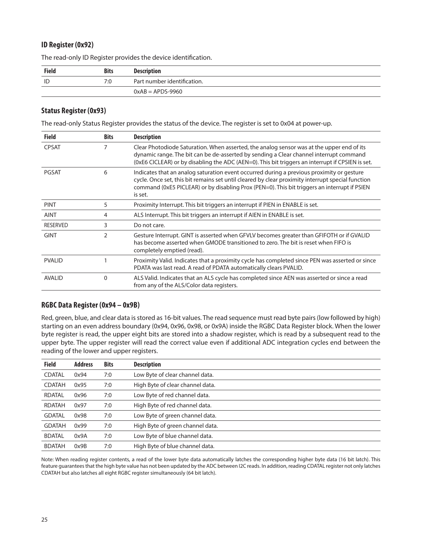## **ID Register (0x92)**

| <b>Field</b> | <b>Bits</b> | <b>Description</b>          |  |
|--------------|-------------|-----------------------------|--|
| ID           | 7:0         | Part number identification. |  |
|              |             | $0xAB = APDS-9960$          |  |

The read-only ID Register provides the device identification.

### **Status Register (0x93)**

The read-only Status Register provides the status of the device. The register is set to 0x04 at power-up.

| <b>Field</b>    | <b>Bits</b> | <b>Description</b>                                                                                                                                                                                                                                                                                        |  |
|-----------------|-------------|-----------------------------------------------------------------------------------------------------------------------------------------------------------------------------------------------------------------------------------------------------------------------------------------------------------|--|
| <b>CPSAT</b>    | 7           | Clear Photodiode Saturation. When asserted, the analog sensor was at the upper end of its<br>dynamic range. The bit can be de-asserted by sending a Clear channel interrupt command<br>(0xE6 CICLEAR) or by disabling the ADC (AEN=0). This bit triggers an interrupt if CPSIEN is set.                   |  |
| <b>PGSAT</b>    | 6           | Indicates that an analog saturation event occurred during a previous proximity or gesture<br>cycle. Once set, this bit remains set until cleared by clear proximity interrupt special function<br>command (0xE5 PICLEAR) or by disabling Prox (PEN=0). This bit triggers an interrupt if PSIEN<br>is set. |  |
| <b>PINT</b>     | 5           | Proximity Interrupt. This bit triggers an interrupt if PIEN in ENABLE is set.                                                                                                                                                                                                                             |  |
| <b>AINT</b>     | 4           | ALS Interrupt. This bit triggers an interrupt if AIEN in ENABLE is set.                                                                                                                                                                                                                                   |  |
| <b>RESERVED</b> | 3           | Do not care.                                                                                                                                                                                                                                                                                              |  |
| <b>GINT</b>     | 2           | Gesture Interrupt. GINT is asserted when GFVLV becomes greater than GFIFOTH or if GVALID<br>has become asserted when GMODE transitioned to zero. The bit is reset when FIFO is<br>completely emptied (read).                                                                                              |  |
| <b>PVALID</b>   |             | Proximity Valid. Indicates that a proximity cycle has completed since PEN was asserted or since<br>PDATA was last read. A read of PDATA automatically clears PVALID.                                                                                                                                      |  |
| <b>AVALID</b>   | 0           | ALS Valid. Indicates that an ALS cycle has completed since AEN was asserted or since a read<br>from any of the ALS/Color data registers.                                                                                                                                                                  |  |

## **RGBC Data Register (0x94 – 0x9B)**

Red, green, blue, and clear data is stored as 16-bit values. The read sequence must read byte pairs (low followed by high) starting on an even address boundary (0x94, 0x96, 0x98, or 0x9A) inside the RGBC Data Register block. When the lower byte register is read, the upper eight bits are stored into a shadow register, which is read by a subsequent read to the upper byte. The upper register will read the correct value even if additional ADC integration cycles end between the reading of the lower and upper registers.

| <b>Field</b>  | <b>Address</b> | <b>Bits</b> | <b>Description</b>               |
|---------------|----------------|-------------|----------------------------------|
| <b>CDATAL</b> | 0x94           | 7:0         | Low Byte of clear channel data.  |
| <b>CDATAH</b> | 0x95           | 7:0         | High Byte of clear channel data. |
| <b>RDATAL</b> | 0x96           | 7:0         | Low Byte of red channel data.    |
| RDATAH        | 0x97           | 7:0         | High Byte of red channel data.   |
| <b>GDATAL</b> | 0x98           | 7:0         | Low Byte of green channel data.  |
| <b>GDATAH</b> | 0x99           | 7:0         | High Byte of green channel data. |
| <b>BDATAL</b> | 0x9A           | 7:0         | Low Byte of blue channel data.   |
| <b>BDATAH</b> | 0x9B           | 7:0         | High Byte of blue channel data.  |

Note: When reading register contents, a read of the lower byte data automatically latches the corresponding higher byte data (16 bit latch). This feature guarantees that the high byte value has not been updated by the ADC between I2C reads. In addition, reading CDATAL register not only latches CDATAH but also latches all eight RGBC register simultaneously (64 bit latch).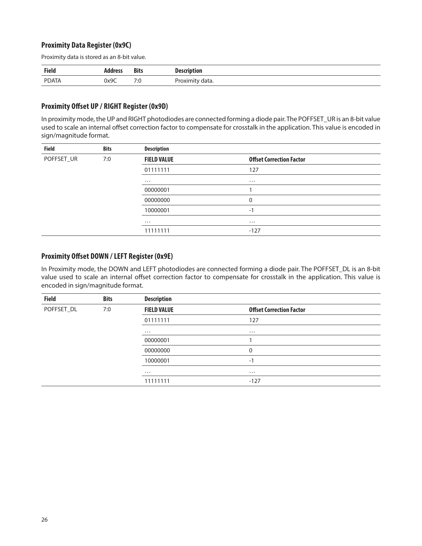## **Proximity Data Register (0x9C)**

Proximity data is stored as an 8-bit value.

| <b>Field</b> | Address | <b>Bits</b> | <b>Description</b> |
|--------------|---------|-------------|--------------------|
| PDATA        | 0x9C    | 7.0<br>7.U  | Proximit<br>data.  |

### **Proximity Offset UP / RIGHT Register (0x9D)**

In proximity mode, the UP and RIGHT photodiodes are connected forming a diode pair. The POFFSET\_UR is an 8-bit value used to scale an internal offset correction factor to compensate for crosstalk in the application. This value is encoded in sign/magnitude format.

| <b>Field</b><br><b>Bits</b> |     | <b>Description</b> |                                 |  |
|-----------------------------|-----|--------------------|---------------------------------|--|
| POFFSET_UR                  | 7:0 | <b>FIELD VALUE</b> | <b>Offset Correction Factor</b> |  |
|                             |     | 01111111           | 127                             |  |
|                             |     | $\cdots$           | $\cdots$                        |  |
|                             |     | 00000001           |                                 |  |
|                             |     | 00000000           | 0                               |  |
|                             |     | 10000001           | $-1$                            |  |
|                             |     | $\cdots$           | $\cdots$                        |  |
|                             |     | 11111111           | $-127$                          |  |

### **Proximity Offset DOWN / LEFT Register (0x9E)**

In Proximity mode, the DOWN and LEFT photodiodes are connected forming a diode pair. The POFFSET\_DL is an 8-bit value used to scale an internal offset correction factor to compensate for crosstalk in the application. This value is encoded in sign/magnitude format.

| <b>Field</b> | <b>Bits</b> | <b>Description</b> |                                 |  |
|--------------|-------------|--------------------|---------------------------------|--|
| POFFSET_DL   | 7:0         | <b>FIELD VALUE</b> | <b>Offset Correction Factor</b> |  |
|              |             | 01111111           | 127                             |  |
|              |             | $\cdots$           | $\cdots$                        |  |
|              |             | 00000001           |                                 |  |
|              |             | 00000000           | 0                               |  |
|              |             | 10000001           | $-1$                            |  |
|              |             | $\cdots$           | $\cdots$                        |  |
|              |             | 11111111           | $-127$                          |  |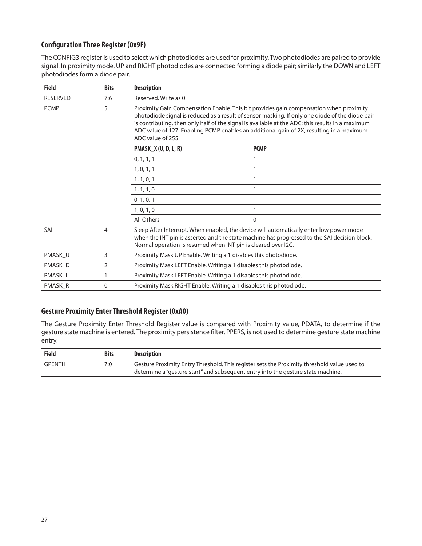## **Configuration Three Register (0x9F)**

The CONFIG3 register is used to select which photodiodes are used for proximity. Two photodiodes are paired to provide signal. In proximity mode, UP and RIGHT photodiodes are connected forming a diode pair; similarly the DOWN and LEFT photodiodes form a diode pair.

| <b>Field</b>    | <b>Bits</b>    | <b>Description</b>                                            |                                                                                                                                                                                                                                                                                                                                                                                           |  |
|-----------------|----------------|---------------------------------------------------------------|-------------------------------------------------------------------------------------------------------------------------------------------------------------------------------------------------------------------------------------------------------------------------------------------------------------------------------------------------------------------------------------------|--|
| <b>RESERVED</b> | 7:6            | Reserved. Write as 0.                                         |                                                                                                                                                                                                                                                                                                                                                                                           |  |
| <b>PCMP</b>     | 5              | ADC value of 255.                                             | Proximity Gain Compensation Enable. This bit provides gain compensation when proximity<br>photodiode signal is reduced as a result of sensor masking. If only one diode of the diode pair<br>is contributing, then only half of the signal is available at the ADC; this results in a maximum<br>ADC value of 127. Enabling PCMP enables an additional gain of 2X, resulting in a maximum |  |
|                 |                | <b>PMASK_X (U, D, L, R)</b>                                   | <b>PCMP</b>                                                                                                                                                                                                                                                                                                                                                                               |  |
|                 |                | 0, 1, 1, 1                                                    |                                                                                                                                                                                                                                                                                                                                                                                           |  |
|                 |                | 1, 0, 1, 1                                                    |                                                                                                                                                                                                                                                                                                                                                                                           |  |
|                 |                | 1, 1, 0, 1                                                    |                                                                                                                                                                                                                                                                                                                                                                                           |  |
|                 |                | 1, 1, 1, 0                                                    |                                                                                                                                                                                                                                                                                                                                                                                           |  |
|                 |                | 0, 1, 0, 1                                                    |                                                                                                                                                                                                                                                                                                                                                                                           |  |
|                 |                | 1, 0, 1, 0                                                    |                                                                                                                                                                                                                                                                                                                                                                                           |  |
|                 |                | All Others                                                    | $\Omega$                                                                                                                                                                                                                                                                                                                                                                                  |  |
| SAI             | 4              | Normal operation is resumed when INT pin is cleared over I2C. | Sleep After Interrupt. When enabled, the device will automatically enter low power mode<br>when the INT pin is asserted and the state machine has progressed to the SAI decision block.                                                                                                                                                                                                   |  |
| PMASK U         | 3              |                                                               | Proximity Mask UP Enable. Writing a 1 disables this photodiode.                                                                                                                                                                                                                                                                                                                           |  |
| PMASK D         | $\overline{2}$ |                                                               | Proximity Mask LEFT Enable. Writing a 1 disables this photodiode.                                                                                                                                                                                                                                                                                                                         |  |
| PMASK L         | 1              |                                                               | Proximity Mask LEFT Enable. Writing a 1 disables this photodiode.                                                                                                                                                                                                                                                                                                                         |  |
| PMASK_R         | 0              |                                                               | Proximity Mask RIGHT Enable. Writing a 1 disables this photodiode.                                                                                                                                                                                                                                                                                                                        |  |

## **Gesture Proximity Enter Threshold Register (0xA0)**

The Gesture Proximity Enter Threshold Register value is compared with Proximity value, PDATA, to determine if the gesture state machine is entered. The proximity persistence filter, PPERS, is not used to determine gesture state machine entry.

| <b>Field</b>  | <b>Bits</b> | Description                                                                                 |
|---------------|-------------|---------------------------------------------------------------------------------------------|
| <b>GPENTH</b> | 7:0         | Gesture Proximity Entry Threshold. This register sets the Proximity threshold value used to |
|               |             | determine a "gesture start" and subsequent entry into the gesture state machine.            |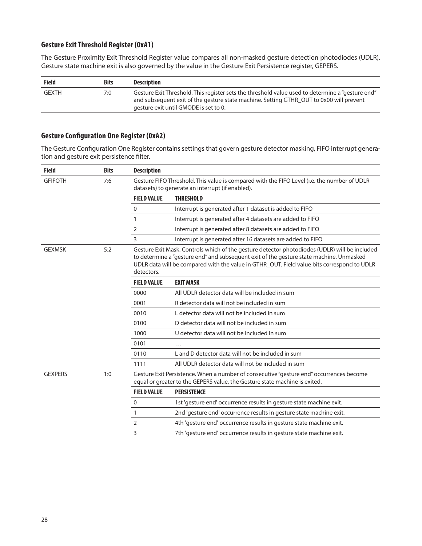## **Gesture Exit Threshold Register (0xA1)**

The Gesture Proximity Exit Threshold Register value compares all non-masked gesture detection photodiodes (UDLR). Gesture state machine exit is also governed by the value in the Gesture Exit Persistence register, GEPERS.

| <b>Field</b> | <b>Bits</b> | <b>Description</b>                                                                                                                                                                                                                    |
|--------------|-------------|---------------------------------------------------------------------------------------------------------------------------------------------------------------------------------------------------------------------------------------|
| <b>GEXTH</b> | 7:0         | "Gesture Exit Threshold. This register sets the threshold value used to determine a "gesture end"<br>and subsequent exit of the gesture state machine. Setting GTHR OUT to 0x00 will prevent<br>gesture exit until GMODE is set to 0. |

## **Gesture Configuration One Register (0xA2)**

The Gesture Configuration One Register contains settings that govern gesture detector masking, FIFO interrupt generation and gesture exit persistence filter.

| <b>Field</b>         | <b>Bits</b> | <b>Description</b> |                                                                                                                                                                                                                                                                                        |
|----------------------|-------------|--------------------|----------------------------------------------------------------------------------------------------------------------------------------------------------------------------------------------------------------------------------------------------------------------------------------|
| <b>GFIFOTH</b>       | 7:6         |                    | Gesture FIFO Threshold. This value is compared with the FIFO Level (i.e. the number of UDLR<br>datasets) to generate an interrupt (if enabled).                                                                                                                                        |
|                      |             | <b>FIELD VALUE</b> | <b>THRESHOLD</b>                                                                                                                                                                                                                                                                       |
|                      |             | $\mathbf 0$        | Interrupt is generated after 1 dataset is added to FIFO                                                                                                                                                                                                                                |
|                      |             | 1                  | Interrupt is generated after 4 datasets are added to FIFO                                                                                                                                                                                                                              |
|                      |             | $\overline{2}$     | Interrupt is generated after 8 datasets are added to FIFO                                                                                                                                                                                                                              |
|                      |             | 3                  | Interrupt is generated after 16 datasets are added to FIFO                                                                                                                                                                                                                             |
| 5:2<br><b>GEXMSK</b> |             | detectors.         | Gesture Exit Mask. Controls which of the gesture detector photodiodes (UDLR) will be included<br>to determine a "gesture end" and subsequent exit of the gesture state machine. Unmasked<br>UDLR data will be compared with the value in GTHR_OUT. Field value bits correspond to UDLR |
|                      |             | <b>FIELD VALUE</b> | <b>EXIT MASK</b>                                                                                                                                                                                                                                                                       |
|                      |             | 0000               | All UDLR detector data will be included in sum                                                                                                                                                                                                                                         |
|                      |             | 0001               | R detector data will not be included in sum                                                                                                                                                                                                                                            |
|                      |             | 0010               | L detector data will not be included in sum                                                                                                                                                                                                                                            |
|                      |             | 0100               | D detector data will not be included in sum                                                                                                                                                                                                                                            |
|                      |             | 1000               | U detector data will not be included in sum                                                                                                                                                                                                                                            |
|                      |             | 0101               | $\cdots$                                                                                                                                                                                                                                                                               |
|                      |             | 0110               | L and D detector data will not be included in sum                                                                                                                                                                                                                                      |
|                      |             | 1111               | All UDLR detector data will not be included in sum                                                                                                                                                                                                                                     |
| <b>GEXPERS</b>       | 1:0         |                    | Gesture Exit Persistence. When a number of consecutive "gesture end" occurrences become<br>equal or greater to the GEPERS value, the Gesture state machine is exited.                                                                                                                  |
|                      |             | <b>FIELD VALUE</b> | <b>PERSISTENCE</b>                                                                                                                                                                                                                                                                     |
|                      |             | $\mathbf 0$        | 1st 'gesture end' occurrence results in gesture state machine exit.                                                                                                                                                                                                                    |
|                      |             | 1                  | 2nd 'gesture end' occurrence results in gesture state machine exit.                                                                                                                                                                                                                    |
|                      |             | 2                  | 4th 'gesture end' occurrence results in gesture state machine exit.                                                                                                                                                                                                                    |
|                      |             | 3                  | 7th 'gesture end' occurrence results in gesture state machine exit.                                                                                                                                                                                                                    |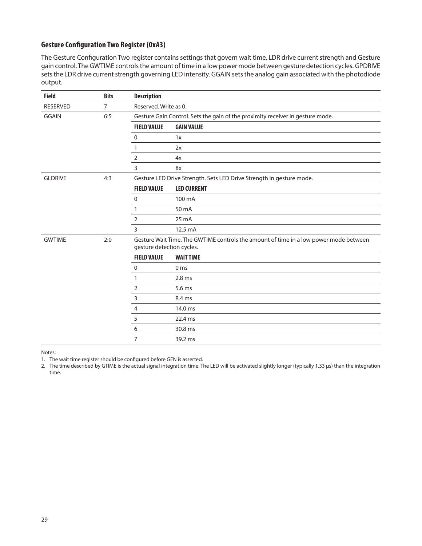## **Gesture Configuration Two Register (0xA3)**

The Gesture Configuration Two register contains settings that govern wait time, LDR drive current strength and Gesture gain control. The GWTIME controls the amount of time in a low power mode between gesture detection cycles. GPDRIVE sets the LDR drive current strength governing LED intensity. GGAIN sets the analog gain associated with the photodiode output.

| <b>Field</b>    | <b>Bits</b> | <b>Description</b>        |                                                                                       |  |
|-----------------|-------------|---------------------------|---------------------------------------------------------------------------------------|--|
| <b>RESERVED</b> | 7           | Reserved. Write as 0.     |                                                                                       |  |
| <b>GGAIN</b>    | 6:5         |                           | Gesture Gain Control. Sets the gain of the proximity receiver in gesture mode.        |  |
|                 |             | <b>FIELD VALUE</b>        | <b>GAIN VALUE</b>                                                                     |  |
|                 |             | $\mathbf 0$               | 1x                                                                                    |  |
|                 |             | 1                         | 2x                                                                                    |  |
|                 |             | 2                         | 4x                                                                                    |  |
|                 |             | 3                         | 8x                                                                                    |  |
| <b>GLDRIVE</b>  | 4:3         |                           | Gesture LED Drive Strength. Sets LED Drive Strength in gesture mode.                  |  |
|                 |             | <b>FIELD VALUE</b>        | <b>LED CURRENT</b>                                                                    |  |
|                 |             | $\mathbf 0$               | 100 mA                                                                                |  |
|                 |             | 1                         | 50 mA                                                                                 |  |
|                 |             | 2                         | $25 \text{ mA}$                                                                       |  |
|                 |             | 3                         | 12.5 mA                                                                               |  |
| <b>GWTIME</b>   | 2:0         | gesture detection cycles. | Gesture Wait Time. The GWTIME controls the amount of time in a low power mode between |  |
|                 |             | <b>FIELD VALUE</b>        | <b>WAIT TIME</b>                                                                      |  |
|                 |             | 0                         | 0 <sub>ms</sub>                                                                       |  |
|                 |             | 1                         | 2.8 <sub>ms</sub>                                                                     |  |
|                 |             | 2                         | 5.6 ms                                                                                |  |
|                 |             | 3                         | 8.4 ms                                                                                |  |
|                 |             | 4                         | 14.0 ms                                                                               |  |
|                 |             | 5                         | 22.4 ms                                                                               |  |
|                 |             | 6                         | 30.8 ms                                                                               |  |
|                 |             | $\overline{7}$            | 39.2 ms                                                                               |  |

#### Notes:

1. The wait time register should be configured before GEN is asserted.

2. The time described by GTIME is the actual signal integration time. The LED will be activated slightly longer (typically 1.33 μs) than the integration time.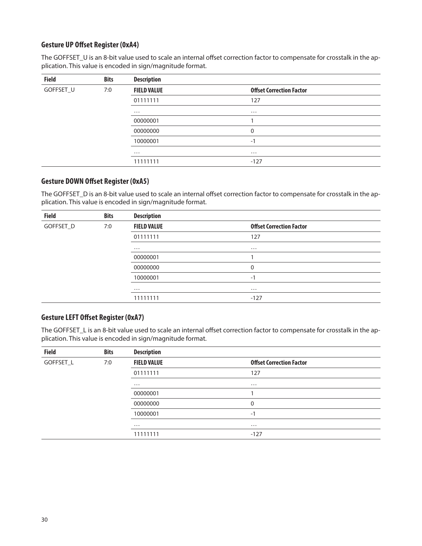## **Gesture UP Offset Register (0xA4)**

The GOFFSET\_U is an 8-bit value used to scale an internal offset correction factor to compensate for crosstalk in the application. This value is encoded in sign/magnitude format.

| <b>Field</b> | <b>Bits</b> | <b>Description</b> |                                 |  |
|--------------|-------------|--------------------|---------------------------------|--|
| GOFFSET_U    | 7:0         | <b>FIELD VALUE</b> | <b>Offset Correction Factor</b> |  |
|              |             | 01111111           | 127                             |  |
|              |             | $\cdots$           | $\cdots$                        |  |
|              |             | 00000001           |                                 |  |
|              |             | 00000000           | 0                               |  |
|              |             | 10000001           | $-1$                            |  |
|              |             | $\cdots$           | $\cdots$                        |  |
|              |             | 11111111           | $-127$                          |  |

## **Gesture DOWN Offset Register (0xA5)**

The GOFFSET\_D is an 8-bit value used to scale an internal offset correction factor to compensate for crosstalk in the application. This value is encoded in sign/magnitude format.

| <b>Field</b> | <b>Bits</b> | <b>Description</b> |                                 |  |
|--------------|-------------|--------------------|---------------------------------|--|
| GOFFSET_D    | 7:0         | <b>FIELD VALUE</b> | <b>Offset Correction Factor</b> |  |
|              |             | 01111111           | 127                             |  |
|              |             | $\cdots$           | $\cdots$                        |  |
|              |             | 00000001           |                                 |  |
|              |             | 00000000           | 0                               |  |
|              |             | 10000001           | $-1$                            |  |
|              |             | $\cdots$           | $\cdots$                        |  |
|              |             | 11111111           | $-127$                          |  |

### **Gesture LEFT Offset Register (0xA7)**

The GOFFSET\_L is an 8-bit value used to scale an internal offset correction factor to compensate for crosstalk in the application. This value is encoded in sign/magnitude format.

| <b>Field</b> | <b>Bits</b> | <b>Description</b> |                                 |  |
|--------------|-------------|--------------------|---------------------------------|--|
| GOFFSET_L    | 7:0         | <b>FIELD VALUE</b> | <b>Offset Correction Factor</b> |  |
|              |             | 01111111           | 127                             |  |
|              |             | $\cdots$           | $\cdots$                        |  |
|              |             | 00000001           |                                 |  |
|              |             | 00000000           | 0                               |  |
|              |             | 10000001           | $-1$                            |  |
|              |             | $\cdots$           | $\cdots$                        |  |
|              |             | 11111111           | $-127$                          |  |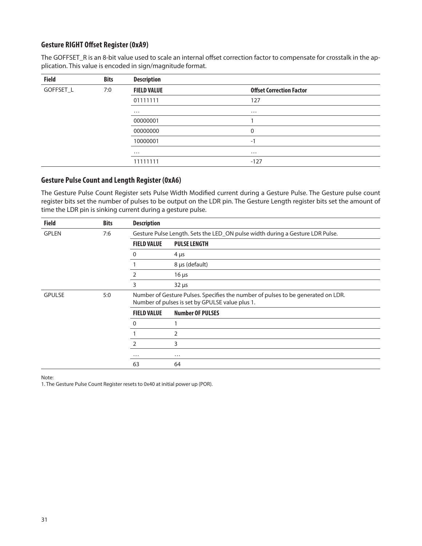## **Gesture RIGHT Offset Register (0xA9)**

The GOFFSET\_R is an 8-bit value used to scale an internal offset correction factor to compensate for crosstalk in the application. This value is encoded in sign/magnitude format.

| <b>Field</b> | <b>Bits</b> | <b>Description</b> |                                 |  |
|--------------|-------------|--------------------|---------------------------------|--|
| GOFFSET_L    | 7:0         | <b>FIELD VALUE</b> | <b>Offset Correction Factor</b> |  |
|              |             | 01111111           | 127                             |  |
|              |             | $\cdots$           | $\cdots$                        |  |
|              |             | 00000001           |                                 |  |
|              |             | 00000000           | $\mathbf 0$                     |  |
|              |             | 10000001           | $-1$                            |  |
|              |             | $\cdots$           | $\cdots$                        |  |
|              |             | 11111111           | $-127$                          |  |

## **Gesture Pulse Count and Length Register (0xA6)**

The Gesture Pulse Count Register sets Pulse Width Modified current during a Gesture Pulse. The Gesture pulse count register bits set the number of pulses to be output on the LDR pin. The Gesture Length register bits set the amount of time the LDR pin is sinking current during a gesture pulse.

| <b>Field</b>  | <b>Bits</b> | <b>Description</b> |                                                                                                                                     |
|---------------|-------------|--------------------|-------------------------------------------------------------------------------------------------------------------------------------|
| <b>GPLEN</b>  | 7:6         |                    | Gesture Pulse Length. Sets the LED_ON pulse width during a Gesture LDR Pulse.                                                       |
|               |             | <b>FIELD VALUE</b> | <b>PULSE LENGTH</b>                                                                                                                 |
|               |             | $\mathbf{0}$       | $4 \mu s$                                                                                                                           |
|               |             |                    | 8 µs (default)                                                                                                                      |
|               |             | 2                  | $16 \mu s$                                                                                                                          |
|               |             | 3                  | $32 \mu s$                                                                                                                          |
| <b>GPULSE</b> | 5:0         |                    | Number of Gesture Pulses. Specifies the number of pulses to be generated on LDR.<br>Number of pulses is set by GPULSE value plus 1. |
|               |             | <b>FIELD VALUE</b> | <b>Number OF PULSES</b>                                                                                                             |
|               |             | 0                  |                                                                                                                                     |
|               |             |                    | $\overline{2}$                                                                                                                      |
|               |             | 2                  | 3                                                                                                                                   |
|               |             | $\cdots$           | $\cdots$                                                                                                                            |
|               |             | 63                 | 64                                                                                                                                  |

Note:

1. The Gesture Pulse Count Register resets to 0x40 at initial power up (POR).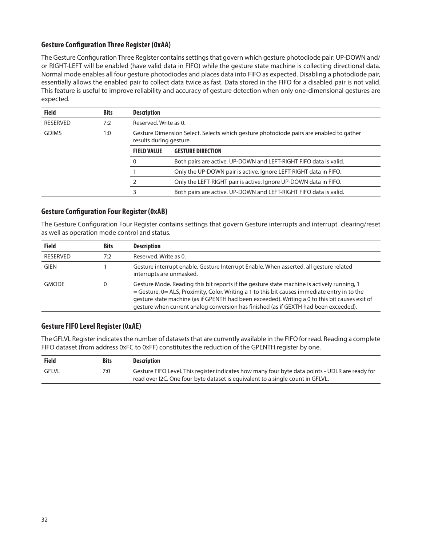## **Gesture Configuration Three Register (0xAA)**

The Gesture Configuration Three Register contains settings that govern which gesture photodiode pair: UP-DOWN and/ or RIGHT-LEFT will be enabled (have valid data in FIFO) while the gesture state machine is collecting directional data. Normal mode enables all four gesture photodiodes and places data into FIFO as expected. Disabling a photodiode pair, essentially allows the enabled pair to collect data twice as fast. Data stored in the FIFO for a disabled pair is not valid. This feature is useful to improve reliability and accuracy of gesture detection when only one-dimensional gestures are expected.

| Field           | <b>Bits</b> | <b>Description</b>                                                                                                |                                                                   |  |
|-----------------|-------------|-------------------------------------------------------------------------------------------------------------------|-------------------------------------------------------------------|--|
| <b>RESERVED</b> | 7:2         |                                                                                                                   | Reserved, Write as 0.                                             |  |
| <b>GDIMS</b>    | 1:0         | Gesture Dimension Select. Selects which gesture photodiode pairs are enabled to gather<br>results during gesture. |                                                                   |  |
|                 |             | <b>FIELD VALUE</b>                                                                                                | <b>GESTURE DIRECTION</b>                                          |  |
|                 |             | $\Omega$                                                                                                          | Both pairs are active. UP-DOWN and LEFT-RIGHT FIFO data is valid. |  |
|                 |             |                                                                                                                   | Only the UP-DOWN pair is active. Ignore LEFT-RIGHT data in FIFO.  |  |
|                 |             |                                                                                                                   | Only the LEFT-RIGHT pair is active. Ignore UP-DOWN data in FIFO.  |  |
|                 |             | 3                                                                                                                 | Both pairs are active. UP-DOWN and LEFT-RIGHT FIFO data is valid. |  |

### **Gesture Configuration Four Register (0xAB)**

The Gesture Configuration Four Register contains settings that govern Gesture interrupts and interrupt clearing/reset as well as operation mode control and status.

| <b>Field</b>    | <b>Bits</b> | <b>Description</b>                                                                                                                                                                                                                                                                                                                                                                       |
|-----------------|-------------|------------------------------------------------------------------------------------------------------------------------------------------------------------------------------------------------------------------------------------------------------------------------------------------------------------------------------------------------------------------------------------------|
| <b>RESERVED</b> | 7:2         | Reserved, Write as 0.                                                                                                                                                                                                                                                                                                                                                                    |
| <b>GIEN</b>     |             | Gesture interrupt enable. Gesture Interrupt Enable. When asserted, all gesture related<br>interrupts are unmasked.                                                                                                                                                                                                                                                                       |
| <b>GMODE</b>    |             | Gesture Mode. Reading this bit reports if the gesture state machine is actively running, 1<br>$=$ Gesture, 0 = ALS, Proximity, Color. Writing a 1 to this bit causes immediate entry in to the<br>gesture state machine (as if GPENTH had been exceeded). Writing a 0 to this bit causes exit of<br>gesture when current analog conversion has finished (as if GEXTH had been exceeded). |

## **Gesture FIFO Level Register (0xAE)**

The GFLVL Register indicates the number of datasets that are currently available in the FIFO for read. Reading a complete FIFO dataset (from address 0xFC to 0xFF) constitutes the reduction of the GPENTH register by one.

| <b>Field</b> | <b>Bits</b> | <b>Description</b>                                                                                                                                                                |
|--------------|-------------|-----------------------------------------------------------------------------------------------------------------------------------------------------------------------------------|
| GFLVL        | 7:0         | Gesture FIFO Level. This register indicates how many four byte data points - UDLR are ready for<br>read over I2C. One four-byte dataset is equivalent to a single count in GFLVL. |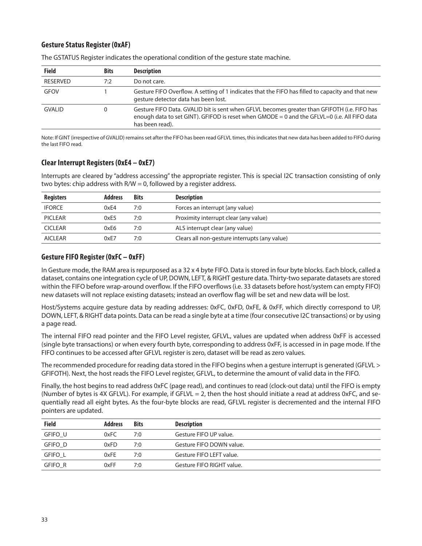## **Gesture Status Register (0xAF)**

| <b>Field</b>    | <b>Bits</b> | <b>Description</b>                                                                                                                                                                                              |
|-----------------|-------------|-----------------------------------------------------------------------------------------------------------------------------------------------------------------------------------------------------------------|
| <b>RESERVED</b> | 7:2         | Do not care.                                                                                                                                                                                                    |
| <b>GFOV</b>     |             | Gesture FIFO Overflow. A setting of 1 indicates that the FIFO has filled to capacity and that new<br>gesture detector data has been lost.                                                                       |
| <b>GVALID</b>   | 0           | Gesture FIFO Data. GVALID bit is sent when GFLVL becomes greater than GFIFOTH (i.e. FIFO has<br>enough data to set GINT). GFIFOD is reset when GMODE = 0 and the GFLVL=0 (i.e. All FIFO data<br>has been read). |

The GSTATUS Register indicates the operational condition of the gesture state machine.

Note: If GINT (irrespective of GVALID) remains set after the FIFO has been read GFLVL times, this indicates that new data has been added to FIFO during the last FIFO read.

### **Clear Interrupt Registers (0xE4 – 0xE7)**

Interrupts are cleared by "address accessing" the appropriate register. This is special I2C transaction consisting of only two bytes: chip address with R/W = 0, followed by a register address.

| <b>Registers</b> | <b>Address</b> | Bits | <b>Description</b>                            |
|------------------|----------------|------|-----------------------------------------------|
| <b>IFORCE</b>    | 0xF4           | 7:0  | Forces an interrupt (any value)               |
| <b>PICLEAR</b>   | 0xE5           | 7:0  | Proximity interrupt clear (any value)         |
| <b>CICLEAR</b>   | 0xE6           | 7:0  | ALS interrupt clear (any value)               |
| <b>AICLEAR</b>   | 0xE7           | 7:0  | Clears all non-gesture interrupts (any value) |

## **Gesture FIFO Register (0xFC – 0xFF)**

In Gesture mode, the RAM area is repurposed as a 32 x 4 byte FIFO. Data is stored in four byte blocks. Each block, called a dataset, contains one integration cycle of UP, DOWN, LEFT, & RIGHT gesture data. Thirty-two separate datasets are stored within the FIFO before wrap-around overflow. If the FIFO overflows (i.e. 33 datasets before host/system can empty FIFO) new datasets will not replace existing datasets; instead an overflow flag will be set and new data will be lost.

Host/Systems acquire gesture data by reading addresses: 0xFC, 0xFD, 0xFE, & 0xFF, which directly correspond to UP, DOWN, LEFT, & RIGHT data points. Data can be read a single byte at a time (four consecutive I2C transactions) or by using a page read.

The internal FIFO read pointer and the FIFO Level register, GFLVL, values are updated when address 0xFF is accessed (single byte transactions) or when every fourth byte, corresponding to address 0xFF, is accessed in in page mode. If the FIFO continues to be accessed after GFLVL register is zero, dataset will be read as zero values.

The recommended procedure for reading data stored in the FIFO begins when a gesture interrupt is generated (GFLVL > GFIFOTH). Next, the host reads the FIFO Level register, GFLVL, to determine the amount of valid data in the FIFO.

Finally, the host begins to read address 0xFC (page read), and continues to read (clock-out data) until the FIFO is empty (Number of bytes is 4X GFLVL). For example, if GFLVL = 2, then the host should initiate a read at address 0xFC, and sequentially read all eight bytes. As the four-byte blocks are read, GFLVL register is decremented and the internal FIFO pointers are updated.

| <b>Field</b>   | <b>Address</b> | <b>Bits</b> | <b>Description</b>        |
|----------------|----------------|-------------|---------------------------|
| GFIFO U        | 0xFC           | 7:0         | Gesture FIFO UP value.    |
| GFIFO D        | 0xFD           | 7:0         | Gesture FIFO DOWN value.  |
| GFIFO_L        | 0xFE           | 7:0         | Gesture FIFO LEFT value.  |
| <b>GFIFO R</b> | 0xFF           | 7:0         | Gesture FIFO RIGHT value. |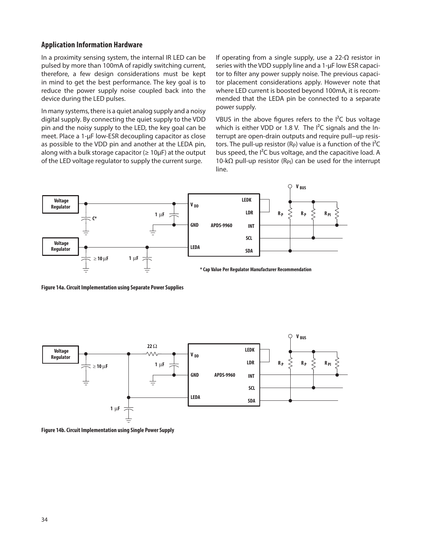#### **Application Information Hardware**

In a proximity sensing system, the internal IR LED can be pulsed by more than 100mA of rapidly switching current, therefore, a few design considerations must be kept in mind to get the best performance. The key goal is to reduce the power supply noise coupled back into the device during the LED pulses.

In many systems, there is a quiet analog supply and a noisy digital supply. By connecting the quiet supply to the VDD pin and the noisy supply to the LED, the key goal can be meet. Place a 1-μF low-ESR decoupling capacitor as close as possible to the VDD pin and another at the LEDA pin, along with a bulk storage capacitor ( $\geq 10 \mu$ F) at the output of the LED voltage regulator to supply the current surge.

If operating from a single supply, use a 22-Ω resistor in series with the VDD supply line and a 1-μF low ESR capacitor to filter any power supply noise. The previous capacitor placement considerations apply. However note that where LED current is boosted beyond 100mA, it is recommended that the LEDA pin be connected to a separate power supply.

VBUS in the above figures refers to the  $I^2C$  bus voltage which is either VDD or 1.8 V. The  $I^2C$  signals and the Interrupt are open-drain outputs and require pull−up resistors. The pull-up resistor (R<sub>P</sub>) value is a function of the  $I^2C$ bus speed, the I²C bus voltage, and the capacitive load. A 10-kΩ pull-up resistor (R<sub>PI</sub>) can be used for the interrupt line.



**Figure 14a. Circuit Implementation using Separate Power Supplies**



**Figure 14b. Circuit Implementation using Single Power Supply**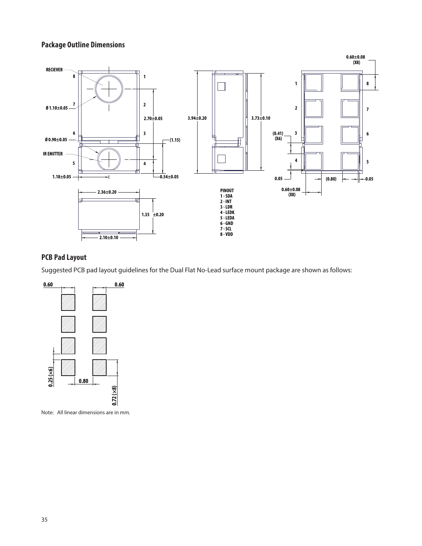## **Package Outline Dimensions**



## **PCB Pad Layout**

Suggested PCB pad layout guidelines for the Dual Flat No-Lead surface mount package are shown as follows:



Note: All linear dimensions are in mm.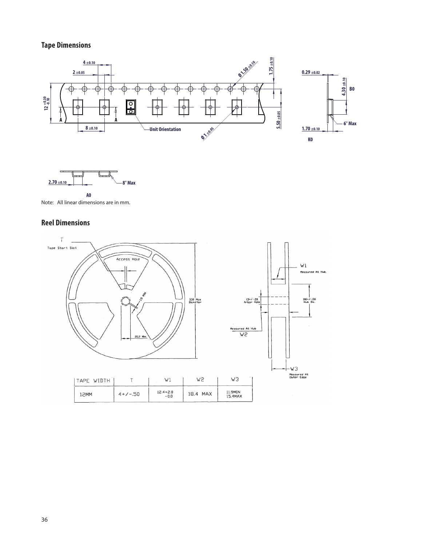## **Tape Dimensions**





Note: All linear dimensions are in mm.

## **Reel Dimensions**

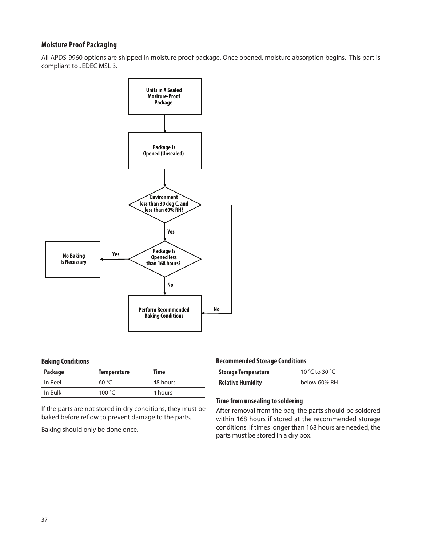### **Moisture Proof Packaging**

All APDS-9960 options are shipped in moisture proof package. Once opened, moisture absorption begins. This part is compliant to JEDEC MSL 3.



#### **Baking Conditions**

| Package | <b>Temperature</b> | Time     |
|---------|--------------------|----------|
| In Reel | 60 °C              | 48 hours |
| In Bulk | 100 $\degree$ C    | 4 hours  |

If the parts are not stored in dry conditions, they must be baked before reflow to prevent damage to the parts.

Baking should only be done once.

#### **Recommended Storage Conditions**

| <b>Storage Temperature</b> | 10 °C to 30 °C |
|----------------------------|----------------|
| <b>Relative Humidity</b>   | below 60% RH   |

#### **Time from unsealing to soldering**

After removal from the bag, the parts should be soldered within 168 hours if stored at the recommended storage conditions. If times longer than 168 hours are needed, the parts must be stored in a dry box.